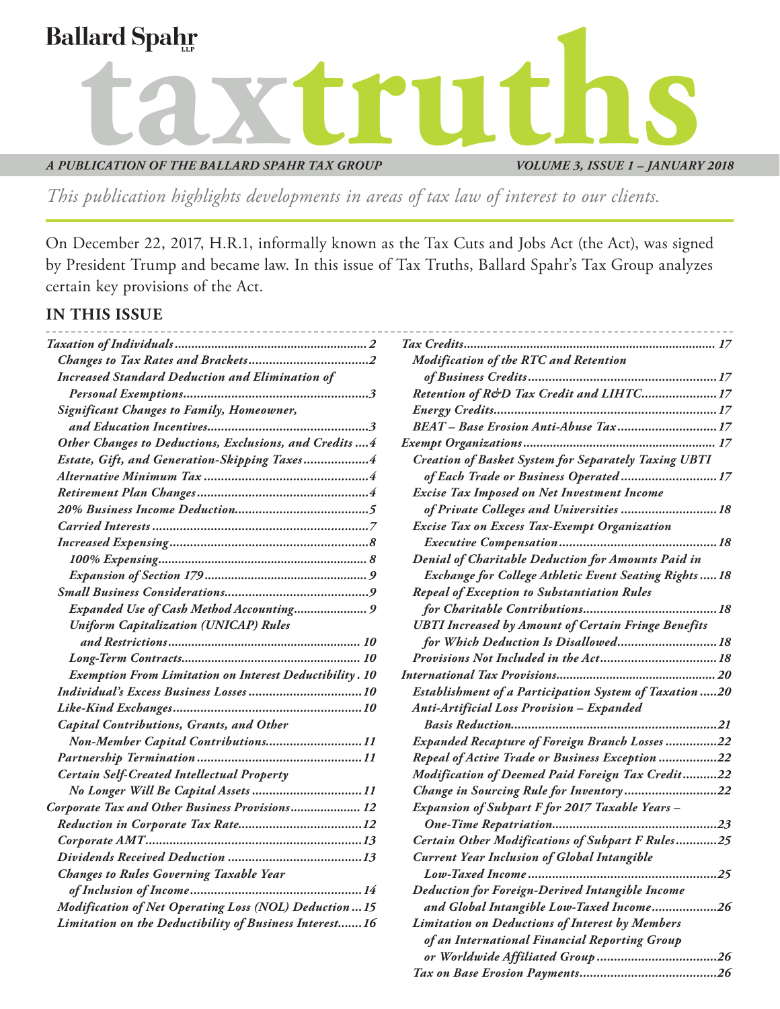

*VOLUME 3, ISSUE 1 – JANUARY 2018*

*or Worldwide Affiliated Group ...................................26 [Tax on Base Erosion Payments........................................26](#page-25-0)*

*This publication highlights developments in areas of tax law of interest to our clients.*

On December 22, 2017, H.R.1, informally known as the Tax Cuts and Jobs Act (the Act), was signed by President Trump and became law. In this issue of Tax Truths, Ballard Spahr's Tax Group analyzes certain key provisions of the Act.

### **IN THIS ISSUE**

|                                                                | <b>Modification of the RTC and Retention</b>                 |
|----------------------------------------------------------------|--------------------------------------------------------------|
| <b>Increased Standard Deduction and Elimination of</b>         |                                                              |
|                                                                | Retention of R&D Tax Credit and LIHTC 17                     |
| <b>Significant Changes to Family, Homeowner,</b>               |                                                              |
|                                                                | BEAT - Base Erosion Anti-Abuse Tax17                         |
| Other Changes to Deductions, Exclusions, and Credits  4        |                                                              |
| Estate, Gift, and Generation-Skipping Taxes4                   | <b>Creation of Basket System for Separately Taxing UBTI</b>  |
|                                                                | of Each Trade or Business Operated 17                        |
|                                                                | <b>Excise Tax Imposed on Net Investment Income</b>           |
|                                                                | of Private Colleges and Universities  18                     |
|                                                                | <b>Excise Tax on Excess Tax-Exempt Organization</b>          |
|                                                                |                                                              |
|                                                                | <b>Denial of Charitable Deduction for Amounts Paid in</b>    |
|                                                                | <b>Exchange for College Athletic Event Seating Rights18</b>  |
|                                                                | <b>Repeal of Exception to Substantiation Rules</b>           |
| Expanded Use of Cash Method Accounting 9                       |                                                              |
| <b>Uniform Capitalization (UNICAP) Rules</b>                   | <b>UBTI Increased by Amount of Certain Fringe Benefits</b>   |
|                                                                | for Which Deduction Is Disallowed 18                         |
|                                                                |                                                              |
| <b>Exemption From Limitation on Interest Deductibility. 10</b> |                                                              |
|                                                                | <b>Establishment of a Participation System of Taxation20</b> |
|                                                                | Anti-Artificial Loss Provision - Expanded                    |
| <b>Capital Contributions, Grants, and Other</b>                |                                                              |
| Non-Member Capital Contributions11                             | Expanded Recapture of Foreign Branch Losses22                |
|                                                                | Repeal of Active Trade or Business Exception 22              |
| <b>Certain Self-Created Intellectual Property</b>              | Modification of Deemed Paid Foreign Tax Credit22             |
|                                                                | Change in Sourcing Rule for Inventory22                      |
| Corporate Tax and Other Business Provisions 12                 | <b>Expansion of Subpart F for 2017 Taxable Years -</b>       |
|                                                                |                                                              |
|                                                                | Certain Other Modifications of Subpart F Rules25             |
|                                                                | <b>Current Year Inclusion of Global Intangible</b>           |
| <b>Changes to Rules Governing Taxable Year</b>                 |                                                              |
|                                                                | <b>Deduction for Foreign-Derived Intangible Income</b>       |
| <b>Modification of Net Operating Loss (NOL) Deduction  15</b>  | and Global Intangible Low-Taxed Income26                     |
| Limitation on the Deductibility of Business Interest 16        | <b>Limitation on Deductions of Interest by Members</b>       |
|                                                                | of an International Financial Reporting Group                |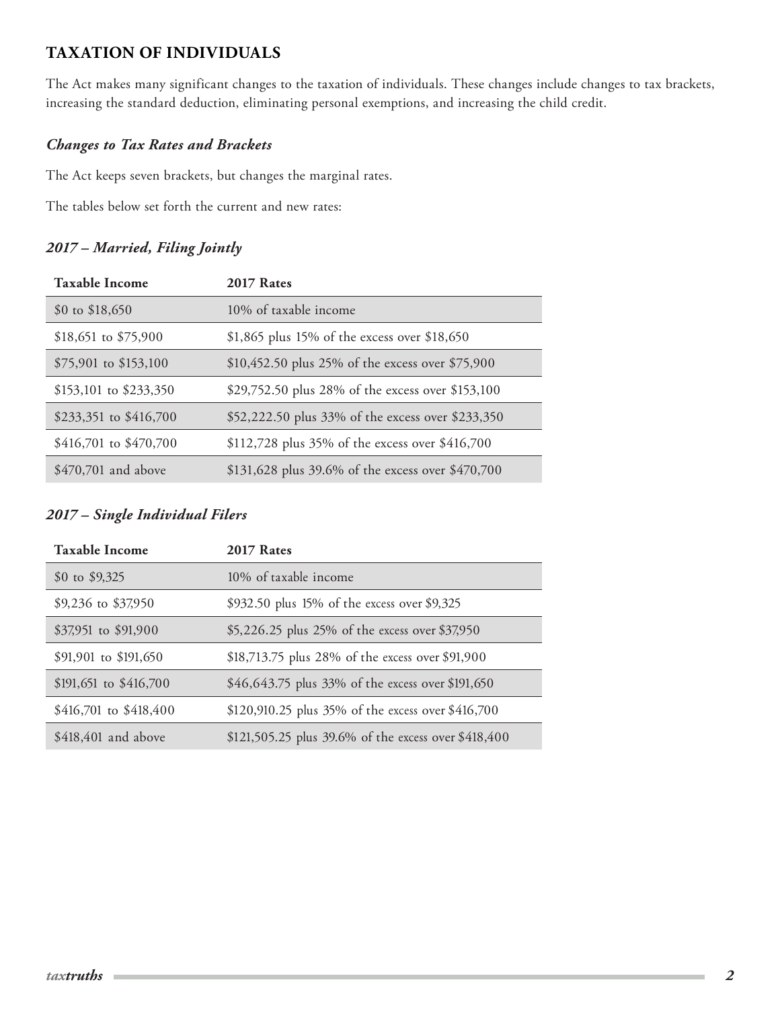# <span id="page-1-0"></span>**TAXATION OF INDIVIDUALS**

The Act makes many significant changes to the taxation of individuals. These changes include changes to tax brackets, increasing the standard deduction, eliminating personal exemptions, and increasing the child credit.

## *Changes to Tax Rates and Brackets*

The Act keeps seven brackets, but changes the marginal rates.

The tables below set forth the current and new rates:

# *2017 – Married, Filing Jointly*

| <b>Taxable Income</b>    | 2017 Rates                                        |
|--------------------------|---------------------------------------------------|
| $$0 \text{ to } $18,650$ | 10% of taxable income                             |
| \$18,651 to \$75,900     | \$1,865 plus 15% of the excess over \$18,650      |
| \$75,901 to \$153,100    | \$10,452.50 plus 25% of the excess over \$75,900  |
| $$153,101$ to $$233,350$ | \$29,752.50 plus 28% of the excess over \$153,100 |
| \$233,351 to $$416,700$  | \$52,222.50 plus 33% of the excess over \$233,350 |
| $$416,701$ to $$470,700$ | \$112,728 plus 35% of the excess over \$416,700   |
| $$470,701$ and above     | \$131,628 plus 39.6% of the excess over \$470,700 |

## *2017 – Single Individual Filers*

| <b>Taxable Income</b>    | 2017 Rates                                           |  |
|--------------------------|------------------------------------------------------|--|
| \$0 to \$9,325           | 10% of taxable income                                |  |
| \$9,236 to \$37,950      | \$932.50 plus 15% of the excess over \$9,325         |  |
| \$37,951 to \$91,900     | \$5,226.25 plus 25% of the excess over \$37,950      |  |
| \$91,901 to \$191,650    | \$18,713.75 plus 28% of the excess over \$91,900     |  |
| $$191,651$ to $$416,700$ | \$46,643.75 plus 33% of the excess over \$191,650    |  |
| $$416,701$ to $$418,400$ | \$120,910.25 plus 35% of the excess over \$416,700   |  |
| $$418,401$ and above     | \$121,505.25 plus 39.6% of the excess over \$418,400 |  |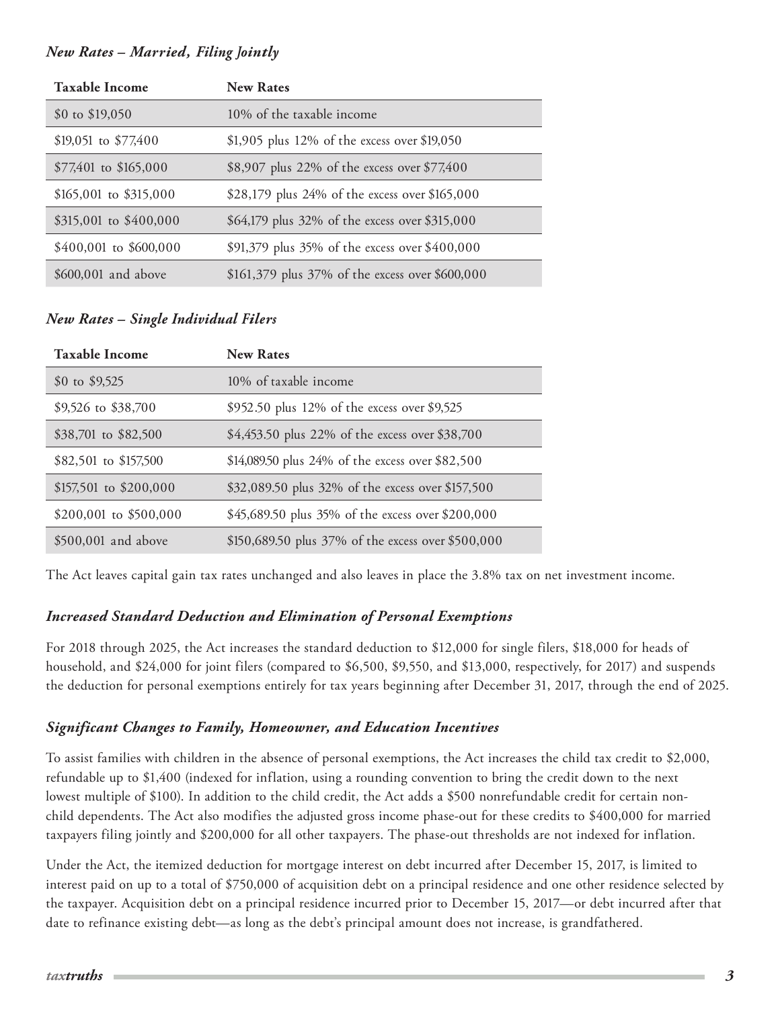#### <span id="page-2-0"></span>*New Rates – Married, Filing Jointly*

| <b>Taxable Income</b>    | <b>New Rates</b>                                |
|--------------------------|-------------------------------------------------|
| $$0 \text{ to } $19,050$ | 10% of the taxable income                       |
| $$19,051$ to $$77,400$   | \$1,905 plus 12% of the excess over \$19,050    |
| $$77,401$ to \$165,000   | \$8,907 plus 22% of the excess over \$77,400    |
| $$165,001$ to $$315,000$ | \$28,179 plus 24% of the excess over \$165,000  |
| $$315,001$ to $$400,000$ | \$64,179 plus 32% of the excess over \$315,000  |
| $$400,001$ to $$600,000$ | \$91,379 plus 35% of the excess over \$400,000  |
| \$600,001 and above      | \$161,379 plus 37% of the excess over \$600,000 |

### *New Rates – Single Individual Filers*

| <b>Taxable Income</b>    | <b>New Rates</b>                                   |
|--------------------------|----------------------------------------------------|
| \$0 to \$9,525           | 10% of taxable income                              |
| \$9,526 to \$38,700      | \$952.50 plus 12% of the excess over \$9,525       |
| \$38,701 to \$82,500     | \$4,453.50 plus 22% of the excess over \$38,700    |
| \$82,501 to \$157,500    | \$14,089.50 plus 24% of the excess over \$82,500   |
| \$157,501 to \$200,000   | \$32,089.50 plus 32% of the excess over \$157,500  |
| $$200,001$ to $$500,000$ | \$45,689.50 plus 35% of the excess over \$200,000  |
| \$500,001 and above      | \$150,689.50 plus 37% of the excess over \$500,000 |

The Act leaves capital gain tax rates unchanged and also leaves in place the 3.8% tax on net investment income.

### *Increased Standard Deduction and Elimination of Personal Exemptions*

For 2018 through 2025, the Act increases the standard deduction to \$12,000 for single filers, \$18,000 for heads of household, and \$24,000 for joint filers (compared to \$6,500, \$9,550, and \$13,000, respectively, for 2017) and suspends the deduction for personal exemptions entirely for tax years beginning after December 31, 2017, through the end of 2025.

### *Significant Changes to Family, Homeowner, and Education Incentives*

To assist families with children in the absence of personal exemptions, the Act increases the child tax credit to \$2,000, refundable up to \$1,400 (indexed for inflation, using a rounding convention to bring the credit down to the next lowest multiple of \$100). In addition to the child credit, the Act adds a \$500 nonrefundable credit for certain nonchild dependents. The Act also modifies the adjusted gross income phase-out for these credits to \$400,000 for married taxpayers filing jointly and \$200,000 for all other taxpayers. The phase-out thresholds are not indexed for inflation.

Under the Act, the itemized deduction for mortgage interest on debt incurred after December 15, 2017, is limited to interest paid on up to a total of \$750,000 of acquisition debt on a principal residence and one other residence selected by the taxpayer. Acquisition debt on a principal residence incurred prior to December 15, 2017—or debt incurred after that date to refinance existing debt—as long as the debt's principal amount does not increase, is grandfathered.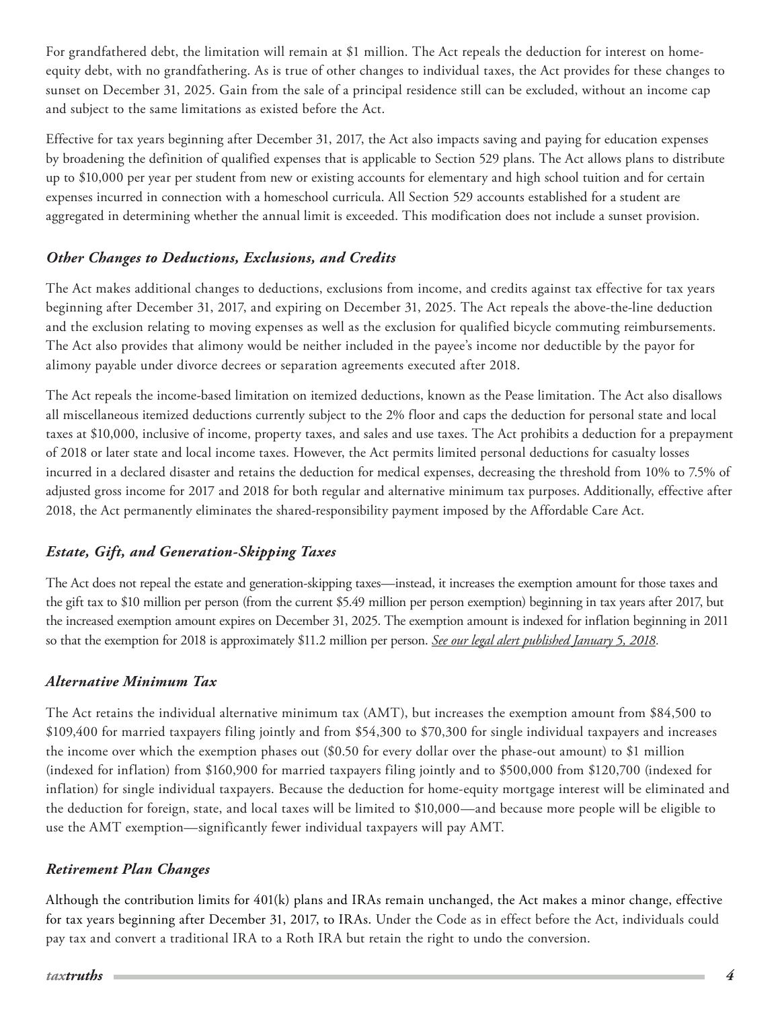<span id="page-3-0"></span>For grandfathered debt, the limitation will remain at \$1 million. The Act repeals the deduction for interest on homeequity debt, with no grandfathering. As is true of other changes to individual taxes, the Act provides for these changes to sunset on December 31, 2025. Gain from the sale of a principal residence still can be excluded, without an income cap and subject to the same limitations as existed before the Act.

Effective for tax years beginning after December 31, 2017, the Act also impacts saving and paying for education expenses by broadening the definition of qualified expenses that is applicable to Section 529 plans. The Act allows plans to distribute up to \$10,000 per year per student from new or existing accounts for elementary and high school tuition and for certain expenses incurred in connection with a homeschool curricula. All Section 529 accounts established for a student are aggregated in determining whether the annual limit is exceeded. This modification does not include a sunset provision.

## *Other Changes to Deductions, Exclusions, and Credits*

The Act makes additional changes to deductions, exclusions from income, and credits against tax effective for tax years beginning after December 31, 2017, and expiring on December 31, 2025. The Act repeals the above-the-line deduction and the exclusion relating to moving expenses as well as the exclusion for qualified bicycle commuting reimbursements. The Act also provides that alimony would be neither included in the payee's income nor deductible by the payor for alimony payable under divorce decrees or separation agreements executed after 2018.

The Act repeals the income-based limitation on itemized deductions, known as the Pease limitation. The Act also disallows all miscellaneous itemized deductions currently subject to the 2% floor and caps the deduction for personal state and local taxes at \$10,000, inclusive of income, property taxes, and sales and use taxes. The Act prohibits a deduction for a prepayment of 2018 or later state and local income taxes. However, the Act permits limited personal deductions for casualty losses incurred in a declared disaster and retains the deduction for medical expenses, decreasing the threshold from 10% to 7.5% of adjusted gross income for 2017 and 2018 for both regular and alternative minimum tax purposes. Additionally, effective after 2018, the Act permanently eliminates the shared-responsibility payment imposed by the Affordable Care Act.

# *Estate, Gift, and Generation-Skipping Taxes*

The Act does not repeal the estate and generation-skipping taxes—instead, it increases the exemption amount for those taxes and the gift tax to \$10 million per person (from the current \$5.49 million per person exemption) beginning in tax years after 2017, but the increased exemption amount expires on December 31, 2025. The exemption amount is indexed for inflation beginning in 2011 so that the exemption for 2018 is approximately \$11.2 million per person. *[See our legal alert published January 5, 2018.](http://www.ballardspahr.com/alertspublications/legalalerts/2018-01-05-impact-on-gift-estate-and-gst-taxes-under-the-tax-cuts-and-jobs-act.aspx)*

### *Alternative Minimum Tax*

The Act retains the individual alternative minimum tax (AMT), but increases the exemption amount from \$84,500 to \$109,400 for married taxpayers filing jointly and from \$54,300 to \$70,300 for single individual taxpayers and increases the income over which the exemption phases out (\$0.50 for every dollar over the phase-out amount) to \$1 million (indexed for inflation) from \$160,900 for married taxpayers filing jointly and to \$500,000 from \$120,700 (indexed for inflation) for single individual taxpayers. Because the deduction for home-equity mortgage interest will be eliminated and the deduction for foreign, state, and local taxes will be limited to \$10,000—and because more people will be eligible to use the AMT exemption—significantly fewer individual taxpayers will pay AMT.

### *Retirement Plan Changes*

Although the contribution limits for 401(k) plans and IRAs remain unchanged, the Act makes a minor change, effective for tax years beginning after December 31, 2017, to IRAs. Under the Code as in effect before the Act, individuals could pay tax and convert a traditional IRA to a Roth IRA but retain the right to undo the conversion.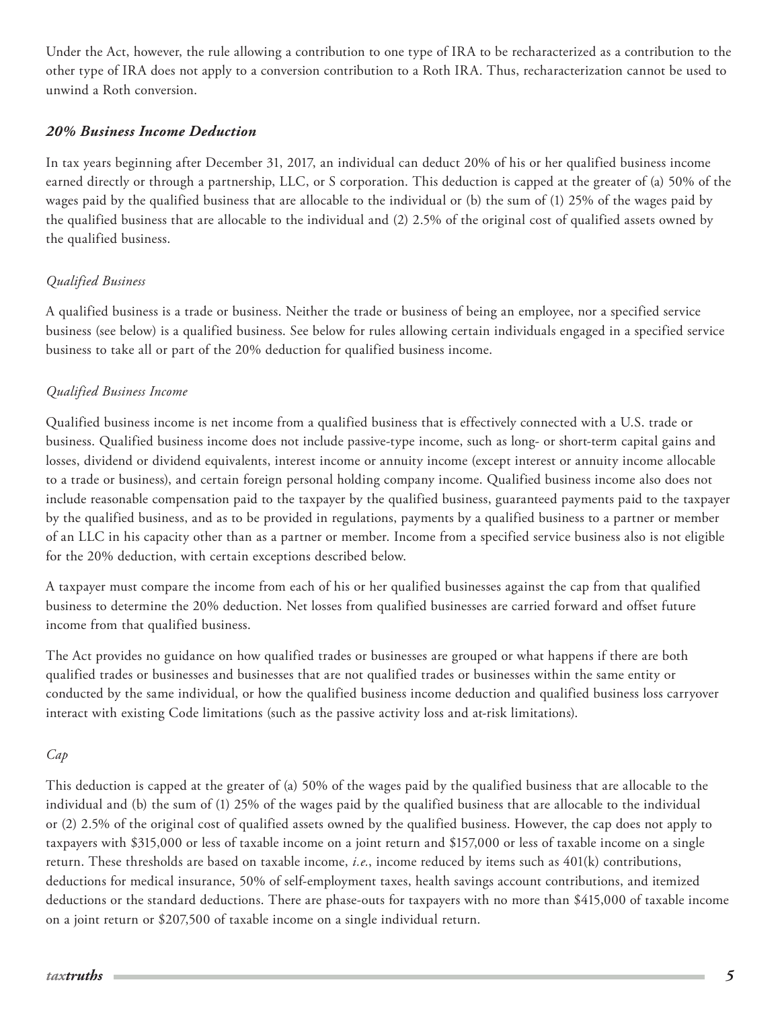<span id="page-4-0"></span>Under the Act, however, the rule allowing a contribution to one type of IRA to be recharacterized as a contribution to the other type of IRA does not apply to a conversion contribution to a Roth IRA. Thus, recharacterization cannot be used to unwind a Roth conversion.

#### *20% Business Income Deduction*

In tax years beginning after December 31, 2017, an individual can deduct 20% of his or her qualified business income earned directly or through a partnership, LLC, or S corporation. This deduction is capped at the greater of (a) 50% of the wages paid by the qualified business that are allocable to the individual or (b) the sum of (1) 25% of the wages paid by the qualified business that are allocable to the individual and (2) 2.5% of the original cost of qualified assets owned by the qualified business.

#### *Qualified Business*

A qualified business is a trade or business. Neither the trade or business of being an employee, nor a specified service business (see below) is a qualified business. See below for rules allowing certain individuals engaged in a specified service business to take all or part of the 20% deduction for qualified business income.

### *Qualified Business Income*

Qualified business income is net income from a qualified business that is effectively connected with a U.S. trade or business. Qualified business income does not include passive-type income, such as long- or short-term capital gains and losses, dividend or dividend equivalents, interest income or annuity income (except interest or annuity income allocable to a trade or business), and certain foreign personal holding company income. Qualified business income also does not include reasonable compensation paid to the taxpayer by the qualified business, guaranteed payments paid to the taxpayer by the qualified business, and as to be provided in regulations, payments by a qualified business to a partner or member of an LLC in his capacity other than as a partner or member. Income from a specified service business also is not eligible for the 20% deduction, with certain exceptions described below.

A taxpayer must compare the income from each of his or her qualified businesses against the cap from that qualified business to determine the 20% deduction. Net losses from qualified businesses are carried forward and offset future income from that qualified business.

The Act provides no guidance on how qualified trades or businesses are grouped or what happens if there are both qualified trades or businesses and businesses that are not qualified trades or businesses within the same entity or conducted by the same individual, or how the qualified business income deduction and qualified business loss carryover interact with existing Code limitations (such as the passive activity loss and at-risk limitations).

#### *Cap*

This deduction is capped at the greater of (a) 50% of the wages paid by the qualified business that are allocable to the individual and (b) the sum of (1) 25% of the wages paid by the qualified business that are allocable to the individual or (2) 2.5% of the original cost of qualified assets owned by the qualified business. However, the cap does not apply to taxpayers with \$315,000 or less of taxable income on a joint return and \$157,000 or less of taxable income on a single return. These thresholds are based on taxable income, *i.e.*, income reduced by items such as 401(k) contributions, deductions for medical insurance, 50% of self-employment taxes, health savings account contributions, and itemized deductions or the standard deductions. There are phase-outs for taxpayers with no more than \$415,000 of taxable income on a joint return or \$207,500 of taxable income on a single individual return.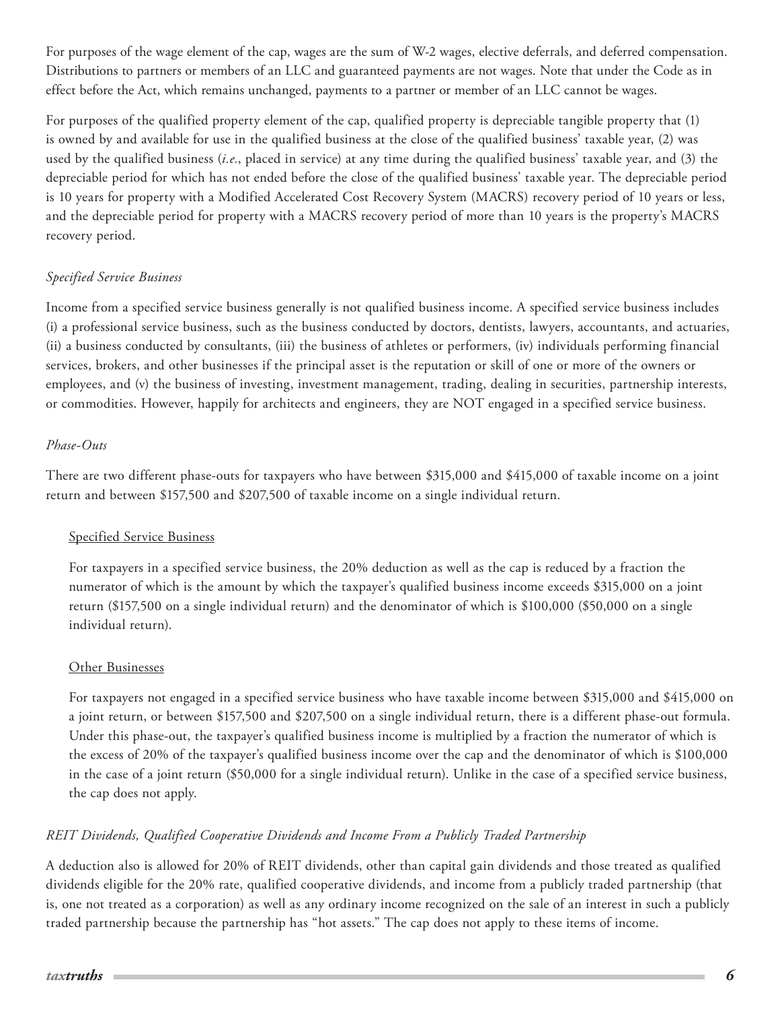For purposes of the wage element of the cap, wages are the sum of W-2 wages, elective deferrals, and deferred compensation. Distributions to partners or members of an LLC and guaranteed payments are not wages. Note that under the Code as in effect before the Act, which remains unchanged, payments to a partner or member of an LLC cannot be wages.

For purposes of the qualified property element of the cap, qualified property is depreciable tangible property that (1) is owned by and available for use in the qualified business at the close of the qualified business' taxable year, (2) was used by the qualified business (*i.e.*, placed in service) at any time during the qualified business' taxable year, and (3) the depreciable period for which has not ended before the close of the qualified business' taxable year. The depreciable period is 10 years for property with a Modified Accelerated Cost Recovery System (MACRS) recovery period of 10 years or less, and the depreciable period for property with a MACRS recovery period of more than 10 years is the property's MACRS recovery period.

#### *Specified Service Business*

Income from a specified service business generally is not qualified business income. A specified service business includes (i) a professional service business, such as the business conducted by doctors, dentists, lawyers, accountants, and actuaries, (ii) a business conducted by consultants, (iii) the business of athletes or performers, (iv) individuals performing financial services, brokers, and other businesses if the principal asset is the reputation or skill of one or more of the owners or employees, and (v) the business of investing, investment management, trading, dealing in securities, partnership interests, or commodities. However, happily for architects and engineers, they are NOT engaged in a specified service business.

#### *Phase-Outs*

There are two different phase-outs for taxpayers who have between \$315,000 and \$415,000 of taxable income on a joint return and between \$157,500 and \$207,500 of taxable income on a single individual return.

#### Specified Service Business

For taxpayers in a specified service business, the 20% deduction as well as the cap is reduced by a fraction the numerator of which is the amount by which the taxpayer's qualified business income exceeds \$315,000 on a joint return (\$157,500 on a single individual return) and the denominator of which is \$100,000 (\$50,000 on a single individual return).

#### Other Businesses

For taxpayers not engaged in a specified service business who have taxable income between \$315,000 and \$415,000 on a joint return, or between \$157,500 and \$207,500 on a single individual return, there is a different phase-out formula. Under this phase-out, the taxpayer's qualified business income is multiplied by a fraction the numerator of which is the excess of 20% of the taxpayer's qualified business income over the cap and the denominator of which is \$100,000 in the case of a joint return (\$50,000 for a single individual return). Unlike in the case of a specified service business, the cap does not apply.

### *REIT Dividends, Qualified Cooperative Dividends and Income From a Publicly Traded Partnership*

A deduction also is allowed for 20% of REIT dividends, other than capital gain dividends and those treated as qualified dividends eligible for the 20% rate, qualified cooperative dividends, and income from a publicly traded partnership (that is, one not treated as a corporation) as well as any ordinary income recognized on the sale of an interest in such a publicly traded partnership because the partnership has "hot assets." The cap does not apply to these items of income.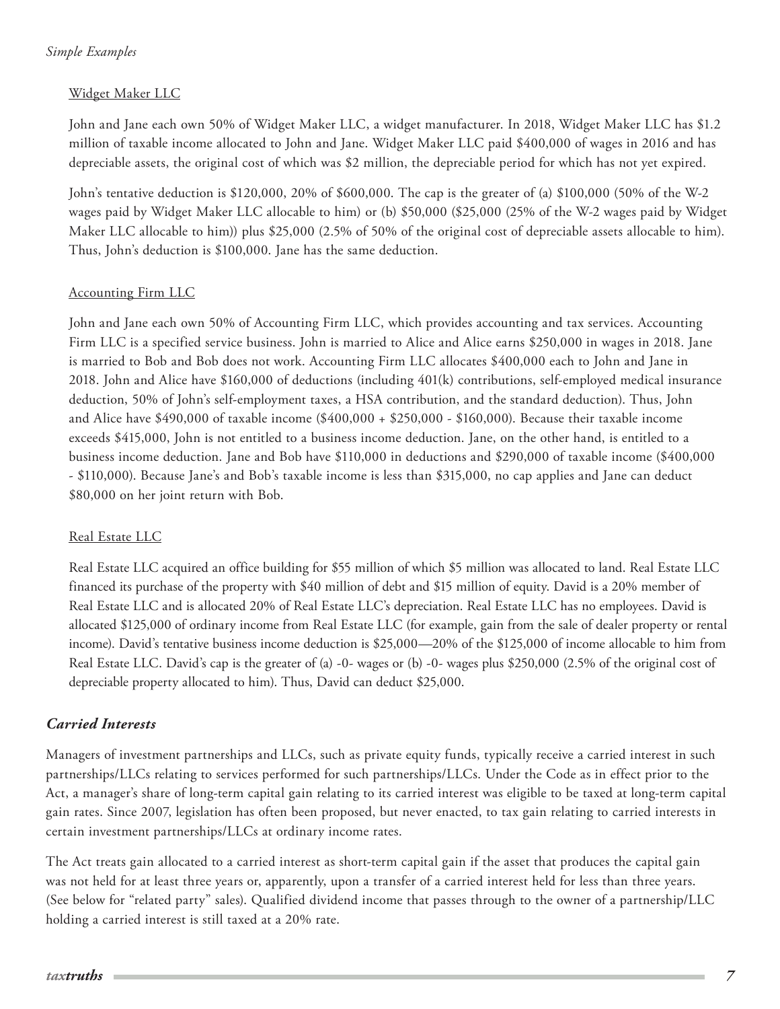### <span id="page-6-0"></span>*Simple Examples*

#### Widget Maker LLC

John and Jane each own 50% of Widget Maker LLC, a widget manufacturer. In 2018, Widget Maker LLC has \$1.2 million of taxable income allocated to John and Jane. Widget Maker LLC paid \$400,000 of wages in 2016 and has depreciable assets, the original cost of which was \$2 million, the depreciable period for which has not yet expired.

John's tentative deduction is \$120,000, 20% of \$600,000. The cap is the greater of (a) \$100,000 (50% of the W-2 wages paid by Widget Maker LLC allocable to him) or (b) \$50,000 (\$25,000 (25% of the W-2 wages paid by Widget Maker LLC allocable to him)) plus \$25,000 (2.5% of 50% of the original cost of depreciable assets allocable to him). Thus, John's deduction is \$100,000. Jane has the same deduction.

#### Accounting Firm LLC

John and Jane each own 50% of Accounting Firm LLC, which provides accounting and tax services. Accounting Firm LLC is a specified service business. John is married to Alice and Alice earns \$250,000 in wages in 2018. Jane is married to Bob and Bob does not work. Accounting Firm LLC allocates \$400,000 each to John and Jane in 2018. John and Alice have \$160,000 of deductions (including 401(k) contributions, self-employed medical insurance deduction, 50% of John's self-employment taxes, a HSA contribution, and the standard deduction). Thus, John and Alice have \$490,000 of taxable income (\$400,000 + \$250,000 - \$160,000). Because their taxable income exceeds \$415,000, John is not entitled to a business income deduction. Jane, on the other hand, is entitled to a business income deduction. Jane and Bob have \$110,000 in deductions and \$290,000 of taxable income (\$400,000 - \$110,000). Because Jane's and Bob's taxable income is less than \$315,000, no cap applies and Jane can deduct \$80,000 on her joint return with Bob.

#### Real Estate LLC

Real Estate LLC acquired an office building for \$55 million of which \$5 million was allocated to land. Real Estate LLC financed its purchase of the property with \$40 million of debt and \$15 million of equity. David is a 20% member of Real Estate LLC and is allocated 20% of Real Estate LLC's depreciation. Real Estate LLC has no employees. David is allocated \$125,000 of ordinary income from Real Estate LLC (for example, gain from the sale of dealer property or rental income). David's tentative business income deduction is \$25,000—20% of the \$125,000 of income allocable to him from Real Estate LLC. David's cap is the greater of (a) -0- wages or (b) -0- wages plus \$250,000 (2.5% of the original cost of depreciable property allocated to him). Thus, David can deduct \$25,000.

### *Carried Interests*

Managers of investment partnerships and LLCs, such as private equity funds, typically receive a carried interest in such partnerships/LLCs relating to services performed for such partnerships/LLCs. Under the Code as in effect prior to the Act, a manager's share of long-term capital gain relating to its carried interest was eligible to be taxed at long-term capital gain rates. Since 2007, legislation has often been proposed, but never enacted, to tax gain relating to carried interests in certain investment partnerships/LLCs at ordinary income rates.

The Act treats gain allocated to a carried interest as short-term capital gain if the asset that produces the capital gain was not held for at least three years or, apparently, upon a transfer of a carried interest held for less than three years. (See below for "related party" sales). Qualified dividend income that passes through to the owner of a partnership/LLC holding a carried interest is still taxed at a 20% rate.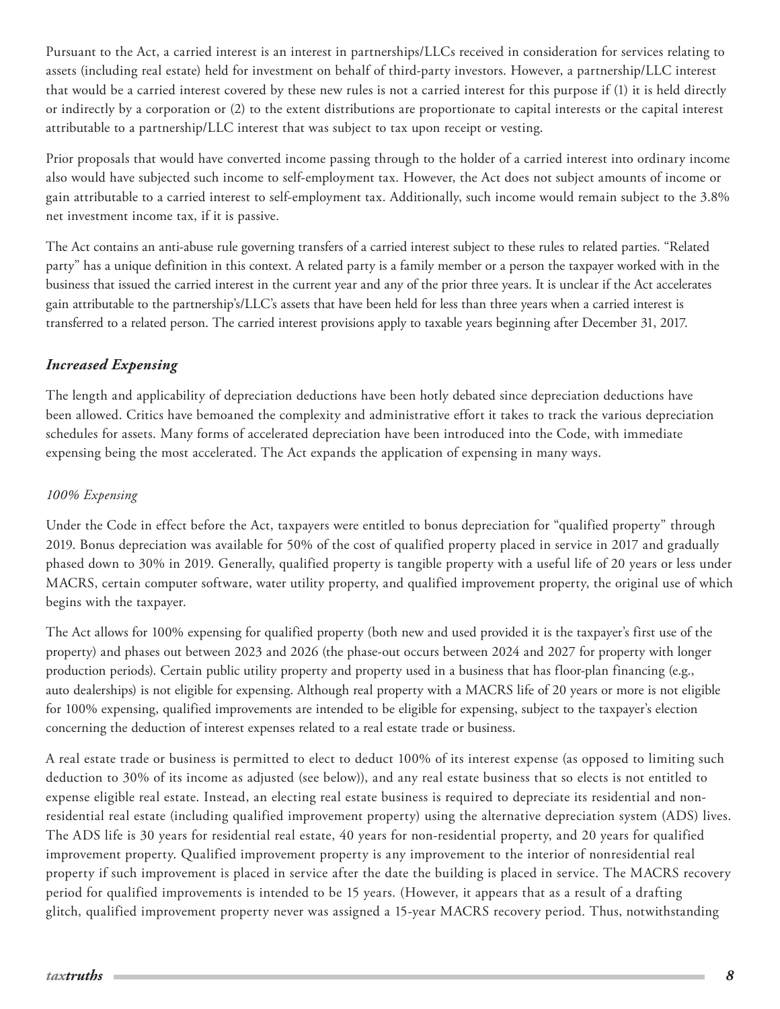<span id="page-7-0"></span>Pursuant to the Act, a carried interest is an interest in partnerships/LLCs received in consideration for services relating to assets (including real estate) held for investment on behalf of third-party investors. However, a partnership/LLC interest that would be a carried interest covered by these new rules is not a carried interest for this purpose if (1) it is held directly or indirectly by a corporation or (2) to the extent distributions are proportionate to capital interests or the capital interest attributable to a partnership/LLC interest that was subject to tax upon receipt or vesting.

Prior proposals that would have converted income passing through to the holder of a carried interest into ordinary income also would have subjected such income to self-employment tax. However, the Act does not subject amounts of income or gain attributable to a carried interest to self-employment tax. Additionally, such income would remain subject to the 3.8% net investment income tax, if it is passive.

The Act contains an anti-abuse rule governing transfers of a carried interest subject to these rules to related parties. "Related party" has a unique definition in this context. A related party is a family member or a person the taxpayer worked with in the business that issued the carried interest in the current year and any of the prior three years. It is unclear if the Act accelerates gain attributable to the partnership's/LLC's assets that have been held for less than three years when a carried interest is transferred to a related person. The carried interest provisions apply to taxable years beginning after December 31, 2017.

# *Increased Expensing*

The length and applicability of depreciation deductions have been hotly debated since depreciation deductions have been allowed. Critics have bemoaned the complexity and administrative effort it takes to track the various depreciation schedules for assets. Many forms of accelerated depreciation have been introduced into the Code, with immediate expensing being the most accelerated. The Act expands the application of expensing in many ways.

#### *100% Expensing*

Under the Code in effect before the Act, taxpayers were entitled to bonus depreciation for "qualified property" through 2019. Bonus depreciation was available for 50% of the cost of qualified property placed in service in 2017 and gradually phased down to 30% in 2019. Generally, qualified property is tangible property with a useful life of 20 years or less under MACRS, certain computer software, water utility property, and qualified improvement property, the original use of which begins with the taxpayer.

The Act allows for 100% expensing for qualified property (both new and used provided it is the taxpayer's first use of the property) and phases out between 2023 and 2026 (the phase-out occurs between 2024 and 2027 for property with longer production periods). Certain public utility property and property used in a business that has floor-plan financing (e.g., auto dealerships) is not eligible for expensing. Although real property with a MACRS life of 20 years or more is not eligible for 100% expensing, qualified improvements are intended to be eligible for expensing, subject to the taxpayer's election concerning the deduction of interest expenses related to a real estate trade or business.

A real estate trade or business is permitted to elect to deduct 100% of its interest expense (as opposed to limiting such deduction to 30% of its income as adjusted (see below)), and any real estate business that so elects is not entitled to expense eligible real estate. Instead, an electing real estate business is required to depreciate its residential and nonresidential real estate (including qualified improvement property) using the alternative depreciation system (ADS) lives. The ADS life is 30 years for residential real estate, 40 years for non-residential property, and 20 years for qualified improvement property. Qualified improvement property is any improvement to the interior of nonresidential real property if such improvement is placed in service after the date the building is placed in service. The MACRS recovery period for qualified improvements is intended to be 15 years. (However, it appears that as a result of a drafting glitch, qualified improvement property never was assigned a 15-year MACRS recovery period. Thus, notwithstanding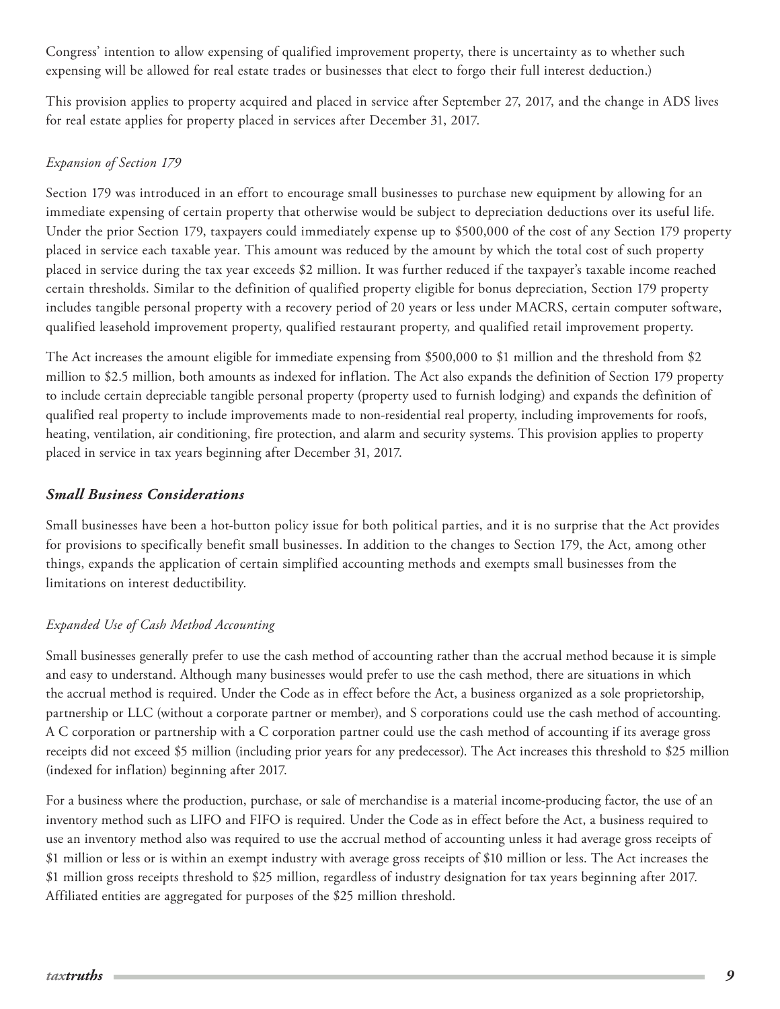<span id="page-8-0"></span>Congress' intention to allow expensing of qualified improvement property, there is uncertainty as to whether such expensing will be allowed for real estate trades or businesses that elect to forgo their full interest deduction.)

This provision applies to property acquired and placed in service after September 27, 2017, and the change in ADS lives for real estate applies for property placed in services after December 31, 2017.

## *Expansion of Section 179*

Section 179 was introduced in an effort to encourage small businesses to purchase new equipment by allowing for an immediate expensing of certain property that otherwise would be subject to depreciation deductions over its useful life. Under the prior Section 179, taxpayers could immediately expense up to \$500,000 of the cost of any Section 179 property placed in service each taxable year. This amount was reduced by the amount by which the total cost of such property placed in service during the tax year exceeds \$2 million. It was further reduced if the taxpayer's taxable income reached certain thresholds. Similar to the definition of qualified property eligible for bonus depreciation, Section 179 property includes tangible personal property with a recovery period of 20 years or less under MACRS, certain computer software, qualified leasehold improvement property, qualified restaurant property, and qualified retail improvement property.

The Act increases the amount eligible for immediate expensing from \$500,000 to \$1 million and the threshold from \$2 million to \$2.5 million, both amounts as indexed for inflation. The Act also expands the definition of Section 179 property to include certain depreciable tangible personal property (property used to furnish lodging) and expands the definition of qualified real property to include improvements made to non-residential real property, including improvements for roofs, heating, ventilation, air conditioning, fire protection, and alarm and security systems. This provision applies to property placed in service in tax years beginning after December 31, 2017.

# *Small Business Considerations*

Small businesses have been a hot-button policy issue for both political parties, and it is no surprise that the Act provides for provisions to specifically benefit small businesses. In addition to the changes to Section 179, the Act, among other things, expands the application of certain simplified accounting methods and exempts small businesses from the limitations on interest deductibility.

# *Expanded Use of Cash Method Accounting*

Small businesses generally prefer to use the cash method of accounting rather than the accrual method because it is simple and easy to understand. Although many businesses would prefer to use the cash method, there are situations in which the accrual method is required. Under the Code as in effect before the Act, a business organized as a sole proprietorship, partnership or LLC (without a corporate partner or member), and S corporations could use the cash method of accounting. A C corporation or partnership with a C corporation partner could use the cash method of accounting if its average gross receipts did not exceed \$5 million (including prior years for any predecessor). The Act increases this threshold to \$25 million (indexed for inflation) beginning after 2017.

For a business where the production, purchase, or sale of merchandise is a material income-producing factor, the use of an inventory method such as LIFO and FIFO is required. Under the Code as in effect before the Act, a business required to use an inventory method also was required to use the accrual method of accounting unless it had average gross receipts of \$1 million or less or is within an exempt industry with average gross receipts of \$10 million or less. The Act increases the \$1 million gross receipts threshold to \$25 million, regardless of industry designation for tax years beginning after 2017. Affiliated entities are aggregated for purposes of the \$25 million threshold.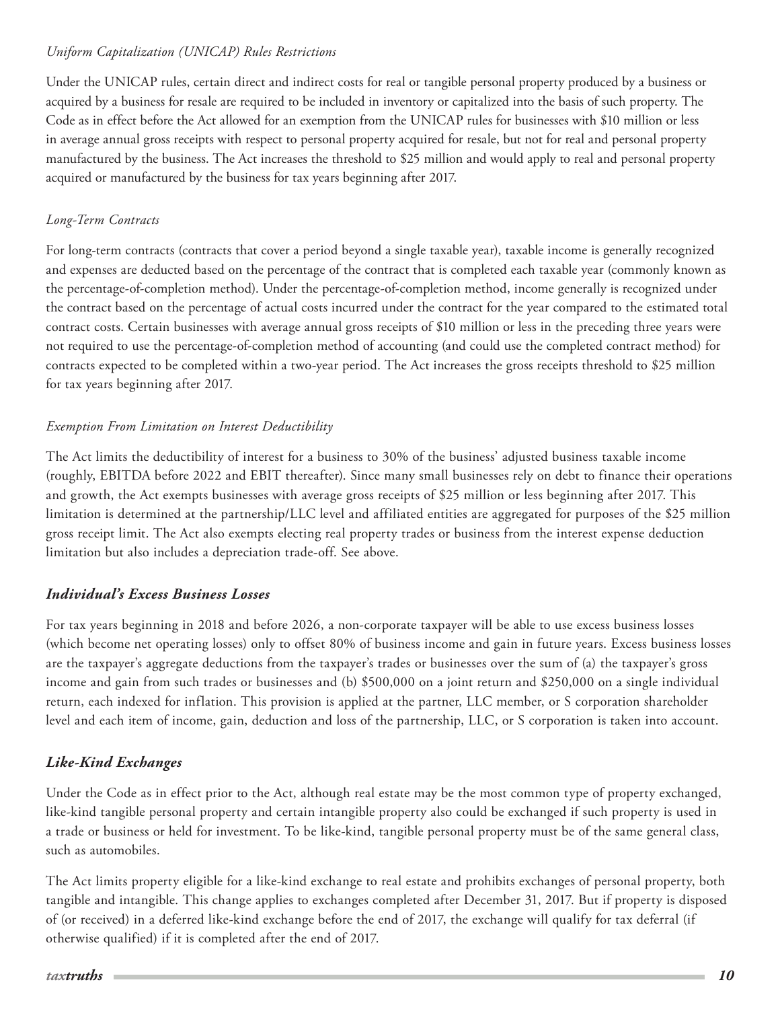#### <span id="page-9-0"></span>*Uniform Capitalization (UNICAP) Rules Restrictions*

Under the UNICAP rules, certain direct and indirect costs for real or tangible personal property produced by a business or acquired by a business for resale are required to be included in inventory or capitalized into the basis of such property. The Code as in effect before the Act allowed for an exemption from the UNICAP rules for businesses with \$10 million or less in average annual gross receipts with respect to personal property acquired for resale, but not for real and personal property manufactured by the business. The Act increases the threshold to \$25 million and would apply to real and personal property acquired or manufactured by the business for tax years beginning after 2017.

## *Long-Term Contracts*

For long-term contracts (contracts that cover a period beyond a single taxable year), taxable income is generally recognized and expenses are deducted based on the percentage of the contract that is completed each taxable year (commonly known as the percentage-of-completion method). Under the percentage-of-completion method, income generally is recognized under the contract based on the percentage of actual costs incurred under the contract for the year compared to the estimated total contract costs. Certain businesses with average annual gross receipts of \$10 million or less in the preceding three years were not required to use the percentage-of-completion method of accounting (and could use the completed contract method) for contracts expected to be completed within a two-year period. The Act increases the gross receipts threshold to \$25 million for tax years beginning after 2017.

## *Exemption From Limitation on Interest Deductibility*

The Act limits the deductibility of interest for a business to 30% of the business' adjusted business taxable income (roughly, EBITDA before 2022 and EBIT thereafter). Since many small businesses rely on debt to finance their operations and growth, the Act exempts businesses with average gross receipts of \$25 million or less beginning after 2017. This limitation is determined at the partnership/LLC level and affiliated entities are aggregated for purposes of the \$25 million gross receipt limit. The Act also exempts electing real property trades or business from the interest expense deduction limitation but also includes a depreciation trade-off. See above.

# *Individual's Excess Business Losses*

For tax years beginning in 2018 and before 2026, a non-corporate taxpayer will be able to use excess business losses (which become net operating losses) only to offset 80% of business income and gain in future years. Excess business losses are the taxpayer's aggregate deductions from the taxpayer's trades or businesses over the sum of (a) the taxpayer's gross income and gain from such trades or businesses and (b) \$500,000 on a joint return and \$250,000 on a single individual return, each indexed for inflation. This provision is applied at the partner, LLC member, or S corporation shareholder level and each item of income, gain, deduction and loss of the partnership, LLC, or S corporation is taken into account.

# *Like-Kind Exchanges*

Under the Code as in effect prior to the Act, although real estate may be the most common type of property exchanged, like-kind tangible personal property and certain intangible property also could be exchanged if such property is used in a trade or business or held for investment. To be like-kind, tangible personal property must be of the same general class, such as automobiles.

The Act limits property eligible for a like-kind exchange to real estate and prohibits exchanges of personal property, both tangible and intangible. This change applies to exchanges completed after December 31, 2017. But if property is disposed of (or received) in a deferred like-kind exchange before the end of 2017, the exchange will qualify for tax deferral (if otherwise qualified) if it is completed after the end of 2017.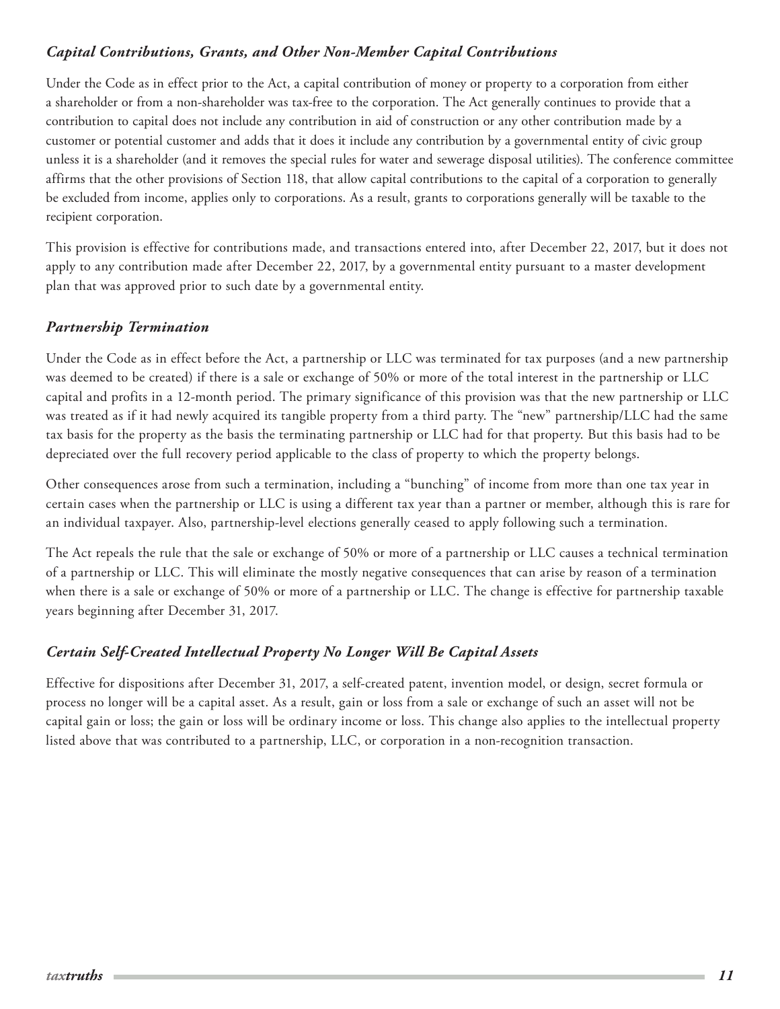## <span id="page-10-0"></span>*Capital Contributions, Grants, and Other Non-Member Capital Contributions*

Under the Code as in effect prior to the Act, a capital contribution of money or property to a corporation from either a shareholder or from a non-shareholder was tax-free to the corporation. The Act generally continues to provide that a contribution to capital does not include any contribution in aid of construction or any other contribution made by a customer or potential customer and adds that it does it include any contribution by a governmental entity of civic group unless it is a shareholder (and it removes the special rules for water and sewerage disposal utilities). The conference committee affirms that the other provisions of Section 118, that allow capital contributions to the capital of a corporation to generally be excluded from income, applies only to corporations. As a result, grants to corporations generally will be taxable to the recipient corporation.

This provision is effective for contributions made, and transactions entered into, after December 22, 2017, but it does not apply to any contribution made after December 22, 2017, by a governmental entity pursuant to a master development plan that was approved prior to such date by a governmental entity.

### *Partnership Termination*

Under the Code as in effect before the Act, a partnership or LLC was terminated for tax purposes (and a new partnership was deemed to be created) if there is a sale or exchange of 50% or more of the total interest in the partnership or LLC capital and profits in a 12-month period. The primary significance of this provision was that the new partnership or LLC was treated as if it had newly acquired its tangible property from a third party. The "new" partnership/LLC had the same tax basis for the property as the basis the terminating partnership or LLC had for that property. But this basis had to be depreciated over the full recovery period applicable to the class of property to which the property belongs.

Other consequences arose from such a termination, including a "bunching" of income from more than one tax year in certain cases when the partnership or LLC is using a different tax year than a partner or member, although this is rare for an individual taxpayer. Also, partnership-level elections generally ceased to apply following such a termination.

The Act repeals the rule that the sale or exchange of 50% or more of a partnership or LLC causes a technical termination of a partnership or LLC. This will eliminate the mostly negative consequences that can arise by reason of a termination when there is a sale or exchange of 50% or more of a partnership or LLC. The change is effective for partnership taxable years beginning after December 31, 2017.

# *Certain Self-Created Intellectual Property No Longer Will Be Capital Assets*

Effective for dispositions after December 31, 2017, a self-created patent, invention model, or design, secret formula or process no longer will be a capital asset. As a result, gain or loss from a sale or exchange of such an asset will not be capital gain or loss; the gain or loss will be ordinary income or loss. This change also applies to the intellectual property listed above that was contributed to a partnership, LLC, or corporation in a non-recognition transaction.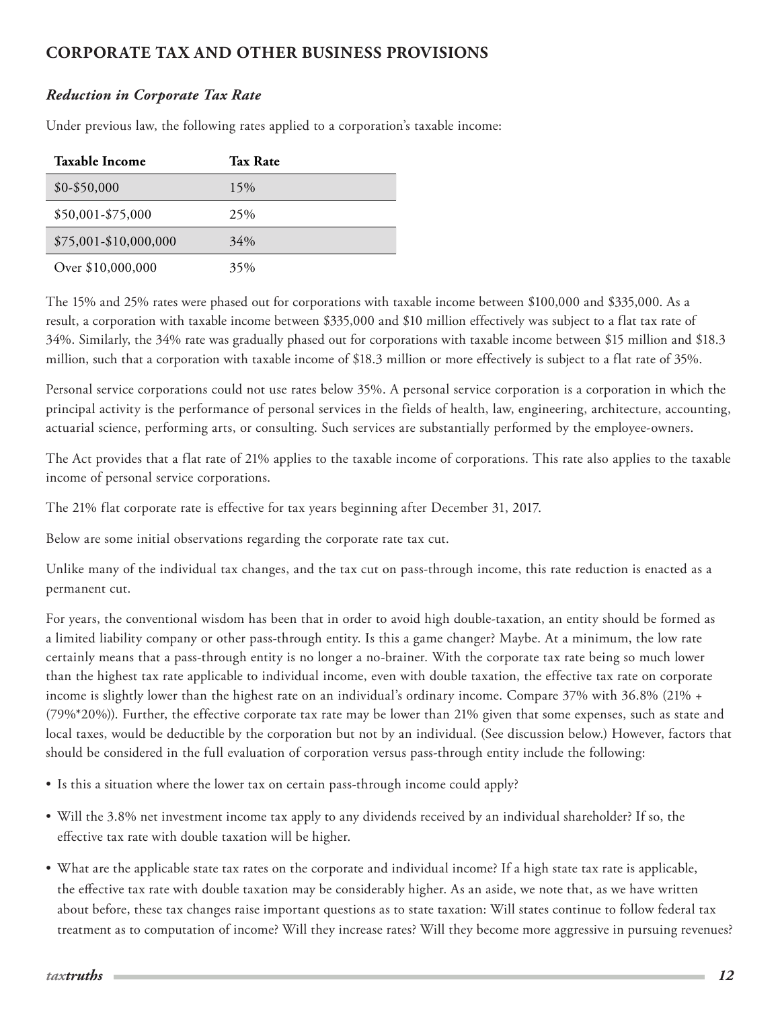# <span id="page-11-0"></span>**CORPORATE TAX AND OTHER BUSINESS PROVISIONS**

## *Reduction in Corporate Tax Rate*

Under previous law, the following rates applied to a corporation's taxable income:

| <b>Taxable Income</b> | <b>Tax Rate</b> |
|-----------------------|-----------------|
| $$0 - $50,000$        | 15%             |
| \$50,001-\$75,000     | 25%             |
| \$75,001-\$10,000,000 | 34%             |
| Over \$10,000,000     | 35%             |

The 15% and 25% rates were phased out for corporations with taxable income between \$100,000 and \$335,000. As a result, a corporation with taxable income between \$335,000 and \$10 million effectively was subject to a flat tax rate of 34%. Similarly, the 34% rate was gradually phased out for corporations with taxable income between \$15 million and \$18.3 million, such that a corporation with taxable income of \$18.3 million or more effectively is subject to a flat rate of 35%.

Personal service corporations could not use rates below 35%. A personal service corporation is a corporation in which the principal activity is the performance of personal services in the fields of health, law, engineering, architecture, accounting, actuarial science, performing arts, or consulting. Such services are substantially performed by the employee-owners.

The Act provides that a flat rate of 21% applies to the taxable income of corporations. This rate also applies to the taxable income of personal service corporations.

The 21% flat corporate rate is effective for tax years beginning after December 31, 2017.

Below are some initial observations regarding the corporate rate tax cut.

Unlike many of the individual tax changes, and the tax cut on pass-through income, this rate reduction is enacted as a permanent cut.

For years, the conventional wisdom has been that in order to avoid high double-taxation, an entity should be formed as a limited liability company or other pass-through entity. Is this a game changer? Maybe. At a minimum, the low rate certainly means that a pass-through entity is no longer a no-brainer. With the corporate tax rate being so much lower than the highest tax rate applicable to individual income, even with double taxation, the effective tax rate on corporate income is slightly lower than the highest rate on an individual's ordinary income. Compare 37% with 36.8% (21% + (79%\*20%)). Further, the effective corporate tax rate may be lower than 21% given that some expenses, such as state and local taxes, would be deductible by the corporation but not by an individual. (See discussion below.) However, factors that should be considered in the full evaluation of corporation versus pass-through entity include the following:

- Is this a situation where the lower tax on certain pass-through income could apply?
- Will the 3.8% net investment income tax apply to any dividends received by an individual shareholder? If so, the effective tax rate with double taxation will be higher.
- What are the applicable state tax rates on the corporate and individual income? If a high state tax rate is applicable, the effective tax rate with double taxation may be considerably higher. As an aside, we note that, as we have written about before, these tax changes raise important questions as to state taxation: Will states continue to follow federal tax treatment as to computation of income? Will they increase rates? Will they become more aggressive in pursuing revenues?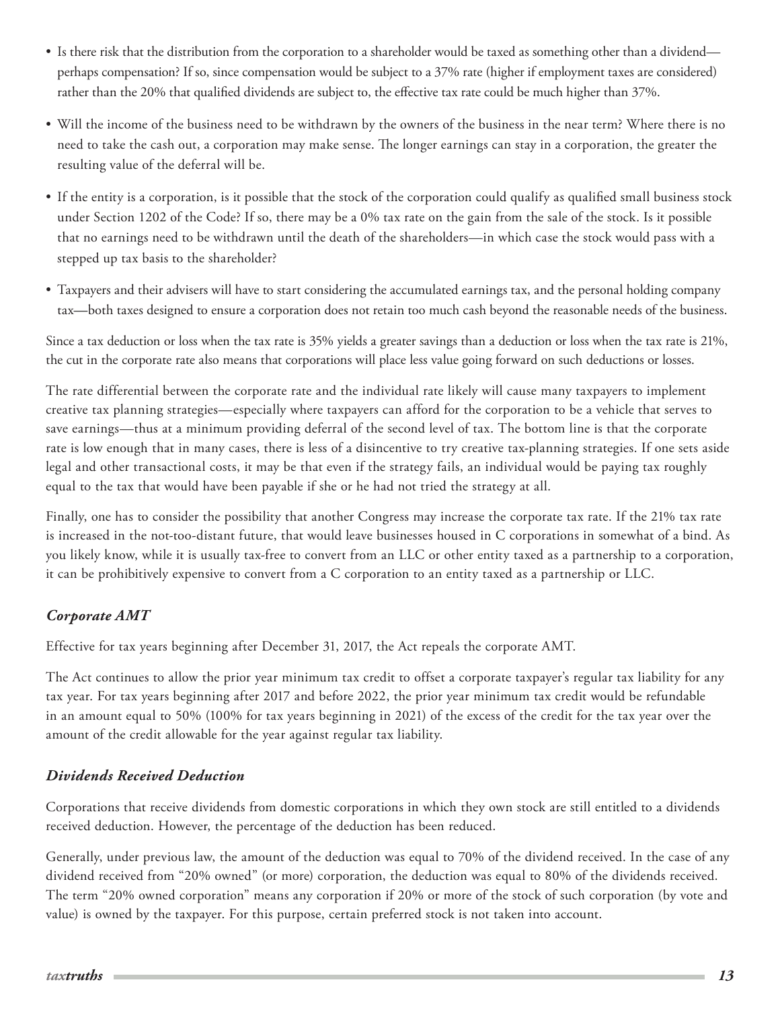- <span id="page-12-0"></span>• Is there risk that the distribution from the corporation to a shareholder would be taxed as something other than a dividend perhaps compensation? If so, since compensation would be subject to a 37% rate (higher if employment taxes are considered) rather than the 20% that qualified dividends are subject to, the effective tax rate could be much higher than 37%.
- Will the income of the business need to be withdrawn by the owners of the business in the near term? Where there is no need to take the cash out, a corporation may make sense. The longer earnings can stay in a corporation, the greater the resulting value of the deferral will be.
- If the entity is a corporation, is it possible that the stock of the corporation could qualify as qualified small business stock under Section 1202 of the Code? If so, there may be a 0% tax rate on the gain from the sale of the stock. Is it possible that no earnings need to be withdrawn until the death of the shareholders—in which case the stock would pass with a stepped up tax basis to the shareholder?
- Taxpayers and their advisers will have to start considering the accumulated earnings tax, and the personal holding company tax—both taxes designed to ensure a corporation does not retain too much cash beyond the reasonable needs of the business.

Since a tax deduction or loss when the tax rate is 35% yields a greater savings than a deduction or loss when the tax rate is 21%, the cut in the corporate rate also means that corporations will place less value going forward on such deductions or losses.

The rate differential between the corporate rate and the individual rate likely will cause many taxpayers to implement creative tax planning strategies—especially where taxpayers can afford for the corporation to be a vehicle that serves to save earnings—thus at a minimum providing deferral of the second level of tax. The bottom line is that the corporate rate is low enough that in many cases, there is less of a disincentive to try creative tax-planning strategies. If one sets aside legal and other transactional costs, it may be that even if the strategy fails, an individual would be paying tax roughly equal to the tax that would have been payable if she or he had not tried the strategy at all.

Finally, one has to consider the possibility that another Congress may increase the corporate tax rate. If the 21% tax rate is increased in the not-too-distant future, that would leave businesses housed in C corporations in somewhat of a bind. As you likely know, while it is usually tax-free to convert from an LLC or other entity taxed as a partnership to a corporation, it can be prohibitively expensive to convert from a C corporation to an entity taxed as a partnership or LLC.

# *Corporate AMT*

Effective for tax years beginning after December 31, 2017, the Act repeals the corporate AMT.

The Act continues to allow the prior year minimum tax credit to offset a corporate taxpayer's regular tax liability for any tax year. For tax years beginning after 2017 and before 2022, the prior year minimum tax credit would be refundable in an amount equal to 50% (100% for tax years beginning in 2021) of the excess of the credit for the tax year over the amount of the credit allowable for the year against regular tax liability.

# *Dividends Received Deduction*

Corporations that receive dividends from domestic corporations in which they own stock are still entitled to a dividends received deduction. However, the percentage of the deduction has been reduced.

Generally, under previous law, the amount of the deduction was equal to 70% of the dividend received. In the case of any dividend received from "20% owned" (or more) corporation, the deduction was equal to 80% of the dividends received. The term "20% owned corporation" means any corporation if 20% or more of the stock of such corporation (by vote and value) is owned by the taxpayer. For this purpose, certain preferred stock is not taken into account.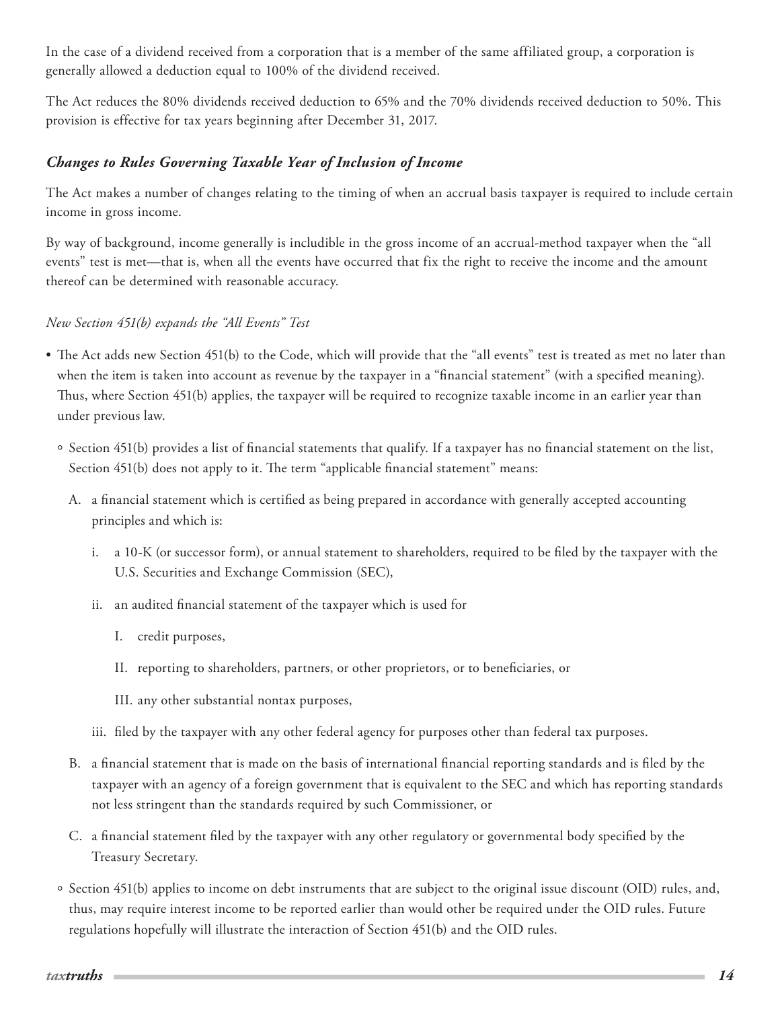<span id="page-13-0"></span>In the case of a dividend received from a corporation that is a member of the same affiliated group, a corporation is generally allowed a deduction equal to 100% of the dividend received.

The Act reduces the 80% dividends received deduction to 65% and the 70% dividends received deduction to 50%. This provision is effective for tax years beginning after December 31, 2017.

## *Changes to Rules Governing Taxable Year of Inclusion of Income*

The Act makes a number of changes relating to the timing of when an accrual basis taxpayer is required to include certain income in gross income.

By way of background, income generally is includible in the gross income of an accrual-method taxpayer when the "all events" test is met—that is, when all the events have occurred that fix the right to receive the income and the amount thereof can be determined with reasonable accuracy.

### *New Section 451(b) expands the "All Events" Test*

- The Act adds new Section 451(b) to the Code, which will provide that the "all events" test is treated as met no later than when the item is taken into account as revenue by the taxpayer in a "financial statement" (with a specified meaning). Thus, where Section 451(b) applies, the taxpayer will be required to recognize taxable income in an earlier year than under previous law.
	- <sup>o</sup> Section 451(b) provides a list of financial statements that qualify. If a taxpayer has no financial statement on the list, Section 451(b) does not apply to it. The term "applicable financial statement" means:
		- A. a financial statement which is certified as being prepared in accordance with generally accepted accounting principles and which is:
			- i. a 10-K (or successor form), or annual statement to shareholders, required to be filed by the taxpayer with the U.S. Securities and Exchange Commission (SEC),
			- ii. an audited financial statement of the taxpayer which is used for
				- I. credit purposes,
				- II. reporting to shareholders, partners, or other proprietors, or to beneficiaries, or
				- III. any other substantial nontax purposes,
			- iii. filed by the taxpayer with any other federal agency for purposes other than federal tax purposes.
		- B. a financial statement that is made on the basis of international financial reporting standards and is filed by the taxpayer with an agency of a foreign government that is equivalent to the SEC and which has reporting standards not less stringent than the standards required by such Commissioner, or
		- C. a financial statement filed by the taxpayer with any other regulatory or governmental body specified by the Treasury Secretary.
	- Section 451(b) applies to income on debt instruments that are subject to the original issue discount (OID) rules, and, thus, may require interest income to be reported earlier than would other be required under the OID rules. Future regulations hopefully will illustrate the interaction of Section 451(b) and the OID rules.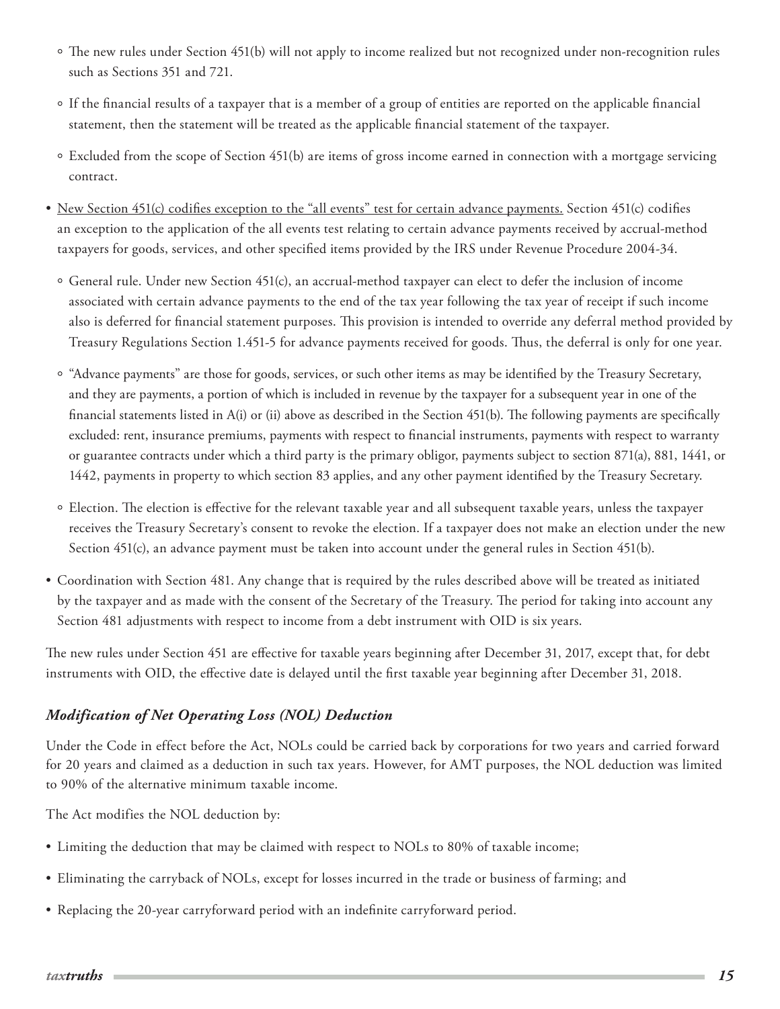- <span id="page-14-0"></span>The new rules under Section 451(b) will not apply to income realized but not recognized under non-recognition rules such as Sections 351 and 721.
- If the financial results of a taxpayer that is a member of a group of entities are reported on the applicable financial statement, then the statement will be treated as the applicable financial statement of the taxpayer.
- Excluded from the scope of Section 451(b) are items of gross income earned in connection with a mortgage servicing contract.
- New Section 451(c) codifies exception to the "all events" test for certain advance payments. Section 451(c) codifies an exception to the application of the all events test relating to certain advance payments received by accrual-method taxpayers for goods, services, and other specified items provided by the IRS under Revenue Procedure 2004-34.
	- General rule. Under new Section 451(c), an accrual-method taxpayer can elect to defer the inclusion of income associated with certain advance payments to the end of the tax year following the tax year of receipt if such income also is deferred for financial statement purposes. This provision is intended to override any deferral method provided by Treasury Regulations Section 1.451-5 for advance payments received for goods. Thus, the deferral is only for one year.
	- <sup>o</sup> "Advance payments" are those for goods, services, or such other items as may be identified by the Treasury Secretary, and they are payments, a portion of which is included in revenue by the taxpayer for a subsequent year in one of the financial statements listed in A(i) or (ii) above as described in the Section 451(b). The following payments are specifically excluded: rent, insurance premiums, payments with respect to financial instruments, payments with respect to warranty or guarantee contracts under which a third party is the primary obligor, payments subject to section 871(a), 881, 1441, or 1442, payments in property to which section 83 applies, and any other payment identified by the Treasury Secretary.
	- Election. The election is effective for the relevant taxable year and all subsequent taxable years, unless the taxpayer receives the Treasury Secretary's consent to revoke the election. If a taxpayer does not make an election under the new Section 451(c), an advance payment must be taken into account under the general rules in Section 451(b).
- Coordination with Section 481. Any change that is required by the rules described above will be treated as initiated by the taxpayer and as made with the consent of the Secretary of the Treasury. The period for taking into account any Section 481 adjustments with respect to income from a debt instrument with OID is six years.

The new rules under Section 451 are effective for taxable years beginning after December 31, 2017, except that, for debt instruments with OID, the effective date is delayed until the first taxable year beginning after December 31, 2018.

# *Modification of Net Operating Loss (NOL) Deduction*

Under the Code in effect before the Act, NOLs could be carried back by corporations for two years and carried forward for 20 years and claimed as a deduction in such tax years. However, for AMT purposes, the NOL deduction was limited to 90% of the alternative minimum taxable income.

The Act modifies the NOL deduction by:

- Limiting the deduction that may be claimed with respect to NOLs to 80% of taxable income;
- Eliminating the carryback of NOLs, except for losses incurred in the trade or business of farming; and
- Replacing the 20-year carryforward period with an indefinite carryforward period.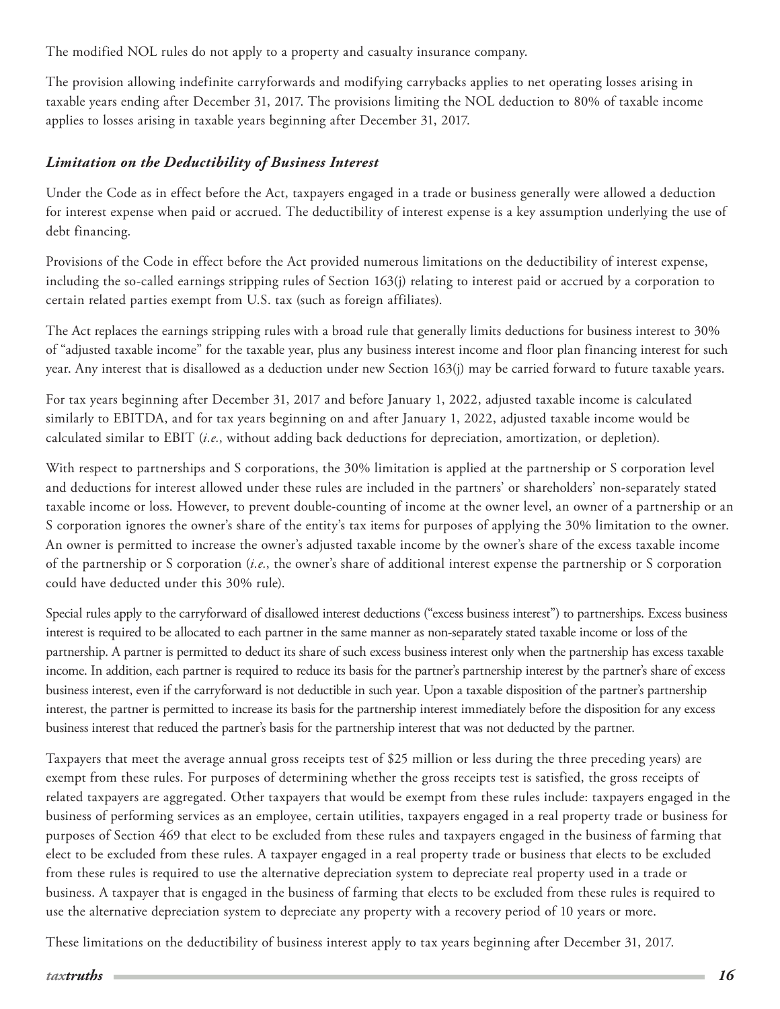<span id="page-15-0"></span>The modified NOL rules do not apply to a property and casualty insurance company.

The provision allowing indefinite carryforwards and modifying carrybacks applies to net operating losses arising in taxable years ending after December 31, 2017. The provisions limiting the NOL deduction to 80% of taxable income applies to losses arising in taxable years beginning after December 31, 2017.

### *Limitation on the Deductibility of Business Interest*

Under the Code as in effect before the Act, taxpayers engaged in a trade or business generally were allowed a deduction for interest expense when paid or accrued. The deductibility of interest expense is a key assumption underlying the use of debt financing.

Provisions of the Code in effect before the Act provided numerous limitations on the deductibility of interest expense, including the so-called earnings stripping rules of Section 163(j) relating to interest paid or accrued by a corporation to certain related parties exempt from U.S. tax (such as foreign affiliates).

The Act replaces the earnings stripping rules with a broad rule that generally limits deductions for business interest to 30% of "adjusted taxable income" for the taxable year, plus any business interest income and floor plan financing interest for such year. Any interest that is disallowed as a deduction under new Section 163(j) may be carried forward to future taxable years.

For tax years beginning after December 31, 2017 and before January 1, 2022, adjusted taxable income is calculated similarly to EBITDA, and for tax years beginning on and after January 1, 2022, adjusted taxable income would be calculated similar to EBIT (*i.e.*, without adding back deductions for depreciation, amortization, or depletion).

With respect to partnerships and S corporations, the 30% limitation is applied at the partnership or S corporation level and deductions for interest allowed under these rules are included in the partners' or shareholders' non-separately stated taxable income or loss. However, to prevent double-counting of income at the owner level, an owner of a partnership or an S corporation ignores the owner's share of the entity's tax items for purposes of applying the 30% limitation to the owner. An owner is permitted to increase the owner's adjusted taxable income by the owner's share of the excess taxable income of the partnership or S corporation (*i.e.*, the owner's share of additional interest expense the partnership or S corporation could have deducted under this 30% rule).

Special rules apply to the carryforward of disallowed interest deductions ("excess business interest") to partnerships. Excess business interest is required to be allocated to each partner in the same manner as non-separately stated taxable income or loss of the partnership. A partner is permitted to deduct its share of such excess business interest only when the partnership has excess taxable income. In addition, each partner is required to reduce its basis for the partner's partnership interest by the partner's share of excess business interest, even if the carryforward is not deductible in such year. Upon a taxable disposition of the partner's partnership interest, the partner is permitted to increase its basis for the partnership interest immediately before the disposition for any excess business interest that reduced the partner's basis for the partnership interest that was not deducted by the partner.

Taxpayers that meet the average annual gross receipts test of \$25 million or less during the three preceding years) are exempt from these rules. For purposes of determining whether the gross receipts test is satisfied, the gross receipts of related taxpayers are aggregated. Other taxpayers that would be exempt from these rules include: taxpayers engaged in the business of performing services as an employee, certain utilities, taxpayers engaged in a real property trade or business for purposes of Section 469 that elect to be excluded from these rules and taxpayers engaged in the business of farming that elect to be excluded from these rules. A taxpayer engaged in a real property trade or business that elects to be excluded from these rules is required to use the alternative depreciation system to depreciate real property used in a trade or business. A taxpayer that is engaged in the business of farming that elects to be excluded from these rules is required to use the alternative depreciation system to depreciate any property with a recovery period of 10 years or more.

These limitations on the deductibility of business interest apply to tax years beginning after December 31, 2017.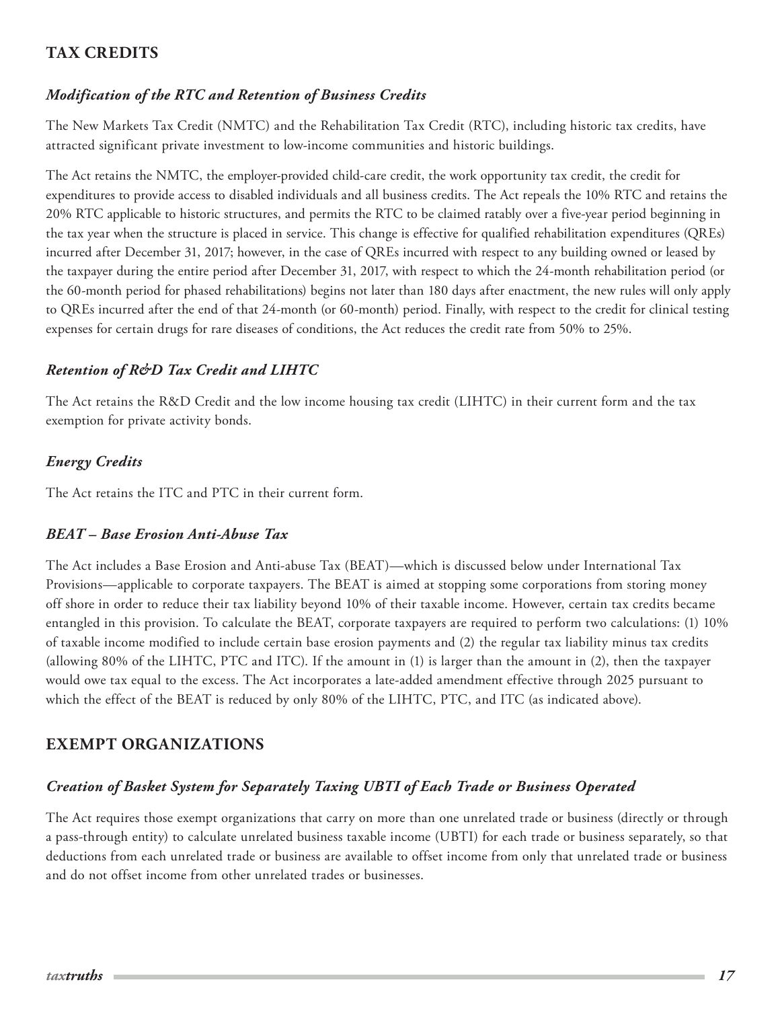# <span id="page-16-0"></span>**TAX CREDITS**

### *Modification of the RTC and Retention of Business Credits*

The New Markets Tax Credit (NMTC) and the Rehabilitation Tax Credit (RTC), including historic tax credits, have attracted significant private investment to low-income communities and historic buildings.

The Act retains the NMTC, the employer-provided child-care credit, the work opportunity tax credit, the credit for expenditures to provide access to disabled individuals and all business credits. The Act repeals the 10% RTC and retains the 20% RTC applicable to historic structures, and permits the RTC to be claimed ratably over a five-year period beginning in the tax year when the structure is placed in service. This change is effective for qualified rehabilitation expenditures (QREs) incurred after December 31, 2017; however, in the case of QREs incurred with respect to any building owned or leased by the taxpayer during the entire period after December 31, 2017, with respect to which the 24-month rehabilitation period (or the 60-month period for phased rehabilitations) begins not later than 180 days after enactment, the new rules will only apply to QREs incurred after the end of that 24-month (or 60-month) period. Finally, with respect to the credit for clinical testing expenses for certain drugs for rare diseases of conditions, the Act reduces the credit rate from 50% to 25%.

### *Retention of R&D Tax Credit and LIHTC*

The Act retains the R&D Credit and the low income housing tax credit (LIHTC) in their current form and the tax exemption for private activity bonds.

# *Energy Credits*

The Act retains the ITC and PTC in their current form.

### *BEAT – Base Erosion Anti-Abuse Tax*

The Act includes a Base Erosion and Anti-abuse Tax (BEAT)—which is discussed below under International Tax Provisions—applicable to corporate taxpayers. The BEAT is aimed at stopping some corporations from storing money off shore in order to reduce their tax liability beyond 10% of their taxable income. However, certain tax credits became entangled in this provision. To calculate the BEAT, corporate taxpayers are required to perform two calculations: (1) 10% of taxable income modified to include certain base erosion payments and (2) the regular tax liability minus tax credits (allowing 80% of the LIHTC, PTC and ITC). If the amount in (1) is larger than the amount in (2), then the taxpayer would owe tax equal to the excess. The Act incorporates a late-added amendment effective through 2025 pursuant to which the effect of the BEAT is reduced by only 80% of the LIHTC, PTC, and ITC (as indicated above).

# **EXEMPT ORGANIZATIONS**

### *Creation of Basket System for Separately Taxing UBTI of Each Trade or Business Operated*

The Act requires those exempt organizations that carry on more than one unrelated trade or business (directly or through a pass-through entity) to calculate unrelated business taxable income (UBTI) for each trade or business separately, so that deductions from each unrelated trade or business are available to offset income from only that unrelated trade or business and do not offset income from other unrelated trades or businesses.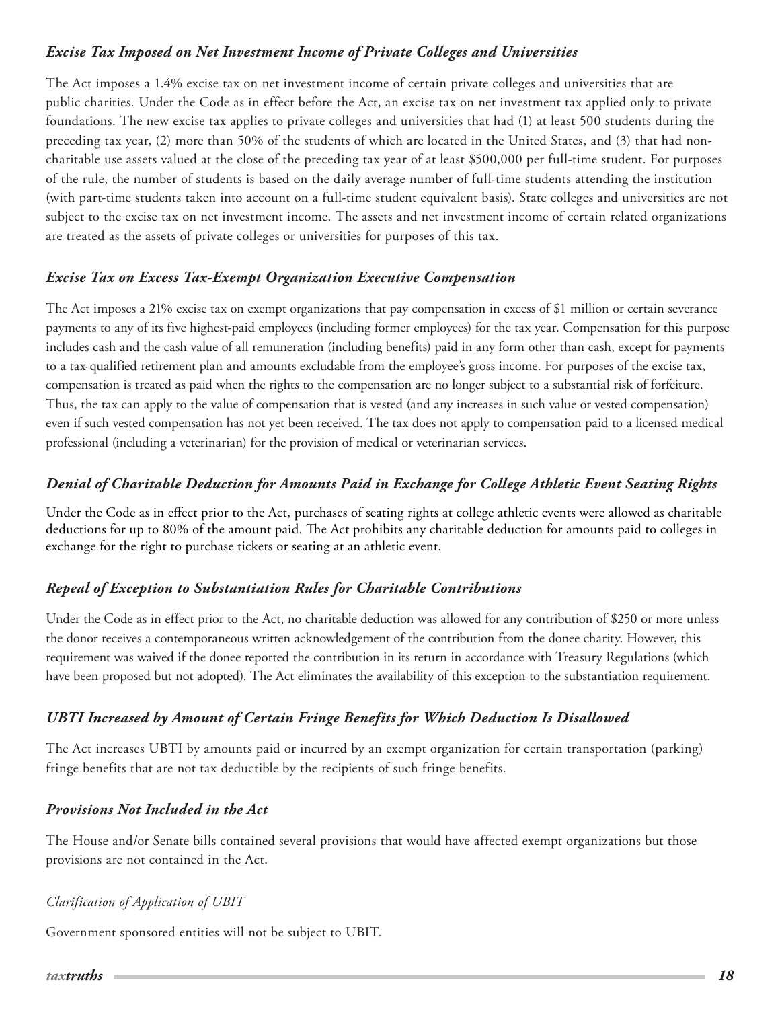## <span id="page-17-0"></span>*Excise Tax Imposed on Net Investment Income of Private Colleges and Universities*

The Act imposes a 1.4% excise tax on net investment income of certain private colleges and universities that are public charities. Under the Code as in effect before the Act, an excise tax on net investment tax applied only to private foundations. The new excise tax applies to private colleges and universities that had (1) at least 500 students during the preceding tax year, (2) more than 50% of the students of which are located in the United States, and (3) that had noncharitable use assets valued at the close of the preceding tax year of at least \$500,000 per full-time student. For purposes of the rule, the number of students is based on the daily average number of full-time students attending the institution (with part-time students taken into account on a full-time student equivalent basis). State colleges and universities are not subject to the excise tax on net investment income. The assets and net investment income of certain related organizations are treated as the assets of private colleges or universities for purposes of this tax.

### *Excise Tax on Excess Tax-Exempt Organization Executive Compensation*

The Act imposes a 21% excise tax on exempt organizations that pay compensation in excess of \$1 million or certain severance payments to any of its five highest-paid employees (including former employees) for the tax year. Compensation for this purpose includes cash and the cash value of all remuneration (including benefits) paid in any form other than cash, except for payments to a tax-qualified retirement plan and amounts excludable from the employee's gross income. For purposes of the excise tax, compensation is treated as paid when the rights to the compensation are no longer subject to a substantial risk of forfeiture. Thus, the tax can apply to the value of compensation that is vested (and any increases in such value or vested compensation) even if such vested compensation has not yet been received. The tax does not apply to compensation paid to a licensed medical professional (including a veterinarian) for the provision of medical or veterinarian services.

# *Denial of Charitable Deduction for Amounts Paid in Exchange for College Athletic Event Seating Rights*

Under the Code as in effect prior to the Act, purchases of seating rights at college athletic events were allowed as charitable deductions for up to 80% of the amount paid. The Act prohibits any charitable deduction for amounts paid to colleges in exchange for the right to purchase tickets or seating at an athletic event.

### *Repeal of Exception to Substantiation Rules for Charitable Contributions*

Under the Code as in effect prior to the Act, no charitable deduction was allowed for any contribution of \$250 or more unless the donor receives a contemporaneous written acknowledgement of the contribution from the donee charity. However, this requirement was waived if the donee reported the contribution in its return in accordance with Treasury Regulations (which have been proposed but not adopted). The Act eliminates the availability of this exception to the substantiation requirement.

### *UBTI Increased by Amount of Certain Fringe Benefits for Which Deduction Is Disallowed*

The Act increases UBTI by amounts paid or incurred by an exempt organization for certain transportation (parking) fringe benefits that are not tax deductible by the recipients of such fringe benefits.

### *Provisions Not Included in the Act*

The House and/or Senate bills contained several provisions that would have affected exempt organizations but those provisions are not contained in the Act.

#### *Clarification of Application of UBIT*

Government sponsored entities will not be subject to UBIT.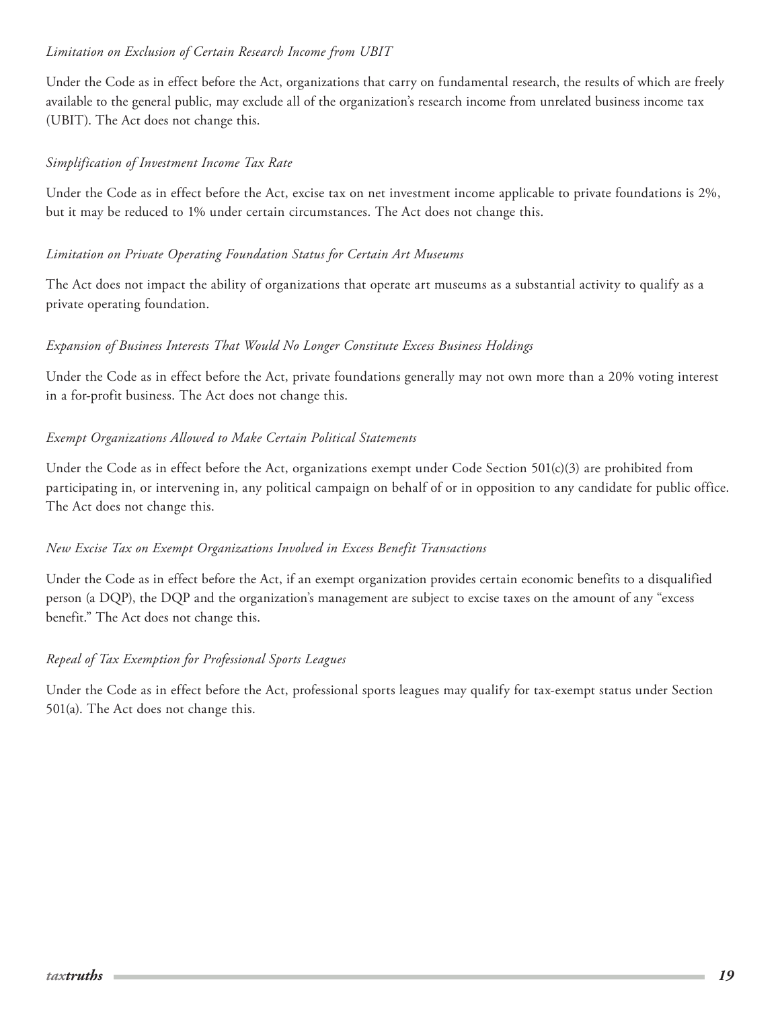#### *Limitation on Exclusion of Certain Research Income from UBIT*

Under the Code as in effect before the Act, organizations that carry on fundamental research, the results of which are freely available to the general public, may exclude all of the organization's research income from unrelated business income tax (UBIT). The Act does not change this.

#### *Simplification of Investment Income Tax Rate*

Under the Code as in effect before the Act, excise tax on net investment income applicable to private foundations is 2%, but it may be reduced to 1% under certain circumstances. The Act does not change this.

#### *Limitation on Private Operating Foundation Status for Certain Art Museums*

The Act does not impact the ability of organizations that operate art museums as a substantial activity to qualify as a private operating foundation.

#### *Expansion of Business Interests That Would No Longer Constitute Excess Business Holdings*

Under the Code as in effect before the Act, private foundations generally may not own more than a 20% voting interest in a for-profit business. The Act does not change this.

#### *Exempt Organizations Allowed to Make Certain Political Statements*

Under the Code as in effect before the Act, organizations exempt under Code Section 501(c)(3) are prohibited from participating in, or intervening in, any political campaign on behalf of or in opposition to any candidate for public office. The Act does not change this.

#### *New Excise Tax on Exempt Organizations Involved in Excess Benefit Transactions*

Under the Code as in effect before the Act, if an exempt organization provides certain economic benefits to a disqualified person (a DQP), the DQP and the organization's management are subject to excise taxes on the amount of any "excess benefit." The Act does not change this.

#### *Repeal of Tax Exemption for Professional Sports Leagues*

Under the Code as in effect before the Act, professional sports leagues may qualify for tax-exempt status under Section 501(a). The Act does not change this.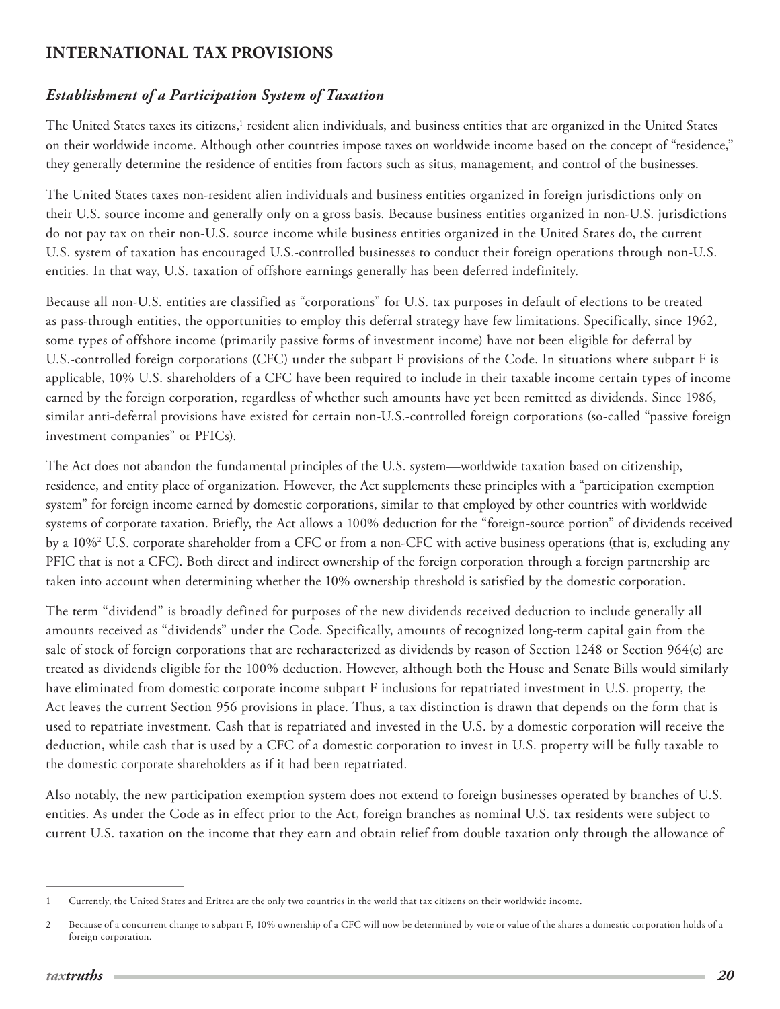# <span id="page-19-0"></span>**INTERNATIONAL TAX PROVISIONS**

## *Establishment of a Participation System of Taxation*

The United States taxes its citizens,<sup>1</sup> resident alien individuals, and business entities that are organized in the United States on their worldwide income. Although other countries impose taxes on worldwide income based on the concept of "residence," they generally determine the residence of entities from factors such as situs, management, and control of the businesses.

The United States taxes non-resident alien individuals and business entities organized in foreign jurisdictions only on their U.S. source income and generally only on a gross basis. Because business entities organized in non-U.S. jurisdictions do not pay tax on their non-U.S. source income while business entities organized in the United States do, the current U.S. system of taxation has encouraged U.S.-controlled businesses to conduct their foreign operations through non-U.S. entities. In that way, U.S. taxation of offshore earnings generally has been deferred indefinitely.

Because all non-U.S. entities are classified as "corporations" for U.S. tax purposes in default of elections to be treated as pass-through entities, the opportunities to employ this deferral strategy have few limitations. Specifically, since 1962, some types of offshore income (primarily passive forms of investment income) have not been eligible for deferral by U.S.-controlled foreign corporations (CFC) under the subpart F provisions of the Code. In situations where subpart F is applicable, 10% U.S. shareholders of a CFC have been required to include in their taxable income certain types of income earned by the foreign corporation, regardless of whether such amounts have yet been remitted as dividends. Since 1986, similar anti-deferral provisions have existed for certain non-U.S.-controlled foreign corporations (so-called "passive foreign investment companies" or PFICs).

The Act does not abandon the fundamental principles of the U.S. system—worldwide taxation based on citizenship, residence, and entity place of organization. However, the Act supplements these principles with a "participation exemption system" for foreign income earned by domestic corporations, similar to that employed by other countries with worldwide systems of corporate taxation. Briefly, the Act allows a 100% deduction for the "foreign-source portion" of dividends received by a 10%2 U.S. corporate shareholder from a CFC or from a non-CFC with active business operations (that is, excluding any PFIC that is not a CFC). Both direct and indirect ownership of the foreign corporation through a foreign partnership are taken into account when determining whether the 10% ownership threshold is satisfied by the domestic corporation.

The term "dividend" is broadly defined for purposes of the new dividends received deduction to include generally all amounts received as "dividends" under the Code. Specifically, amounts of recognized long-term capital gain from the sale of stock of foreign corporations that are recharacterized as dividends by reason of Section 1248 or Section 964(e) are treated as dividends eligible for the 100% deduction. However, although both the House and Senate Bills would similarly have eliminated from domestic corporate income subpart F inclusions for repatriated investment in U.S. property, the Act leaves the current Section 956 provisions in place. Thus, a tax distinction is drawn that depends on the form that is used to repatriate investment. Cash that is repatriated and invested in the U.S. by a domestic corporation will receive the deduction, while cash that is used by a CFC of a domestic corporation to invest in U.S. property will be fully taxable to the domestic corporate shareholders as if it had been repatriated.

Also notably, the new participation exemption system does not extend to foreign businesses operated by branches of U.S. entities. As under the Code as in effect prior to the Act, foreign branches as nominal U.S. tax residents were subject to current U.S. taxation on the income that they earn and obtain relief from double taxation only through the allowance of

<sup>1</sup> Currently, the United States and Eritrea are the only two countries in the world that tax citizens on their worldwide income.

<sup>2</sup> Because of a concurrent change to subpart F, 10% ownership of a CFC will now be determined by vote or value of the shares a domestic corporation holds of a foreign corporation.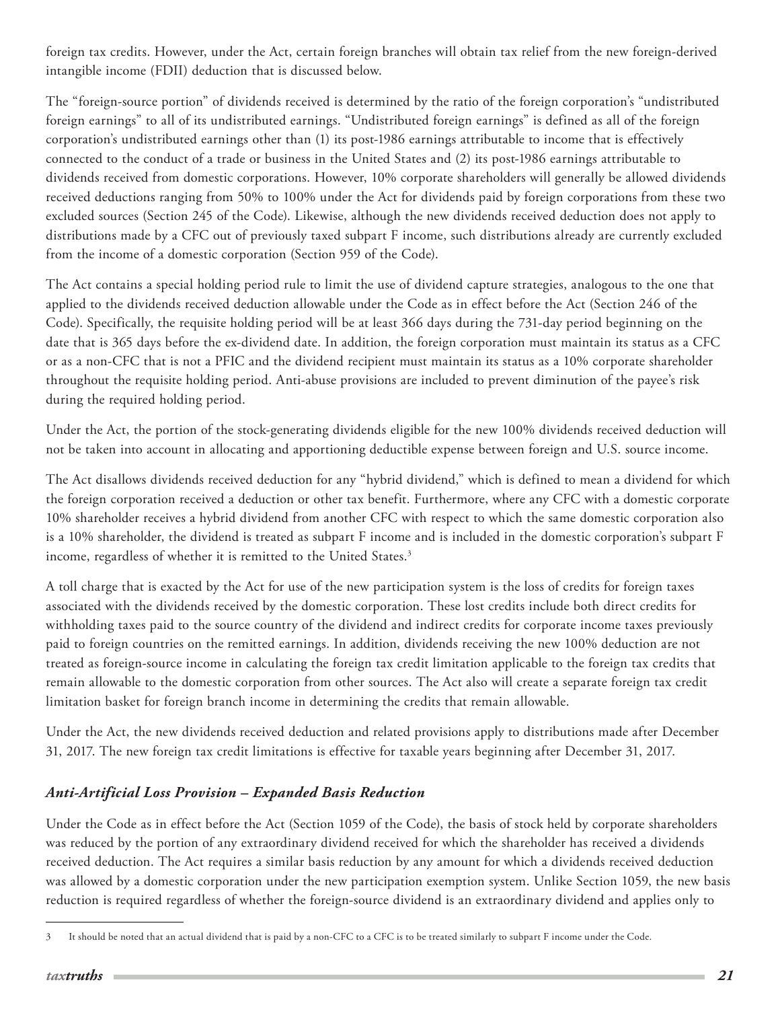<span id="page-20-0"></span>foreign tax credits. However, under the Act, certain foreign branches will obtain tax relief from the new foreign-derived intangible income (FDII) deduction that is discussed below.

The "foreign-source portion" of dividends received is determined by the ratio of the foreign corporation's "undistributed foreign earnings" to all of its undistributed earnings. "Undistributed foreign earnings" is defined as all of the foreign corporation's undistributed earnings other than (1) its post-1986 earnings attributable to income that is effectively connected to the conduct of a trade or business in the United States and (2) its post-1986 earnings attributable to dividends received from domestic corporations. However, 10% corporate shareholders will generally be allowed dividends received deductions ranging from 50% to 100% under the Act for dividends paid by foreign corporations from these two excluded sources (Section 245 of the Code). Likewise, although the new dividends received deduction does not apply to distributions made by a CFC out of previously taxed subpart F income, such distributions already are currently excluded from the income of a domestic corporation (Section 959 of the Code).

The Act contains a special holding period rule to limit the use of dividend capture strategies, analogous to the one that applied to the dividends received deduction allowable under the Code as in effect before the Act (Section 246 of the Code). Specifically, the requisite holding period will be at least 366 days during the 731-day period beginning on the date that is 365 days before the ex-dividend date. In addition, the foreign corporation must maintain its status as a CFC or as a non-CFC that is not a PFIC and the dividend recipient must maintain its status as a 10% corporate shareholder throughout the requisite holding period. Anti-abuse provisions are included to prevent diminution of the payee's risk during the required holding period.

Under the Act, the portion of the stock-generating dividends eligible for the new 100% dividends received deduction will not be taken into account in allocating and apportioning deductible expense between foreign and U.S. source income.

The Act disallows dividends received deduction for any "hybrid dividend," which is defined to mean a dividend for which the foreign corporation received a deduction or other tax benefit. Furthermore, where any CFC with a domestic corporate 10% shareholder receives a hybrid dividend from another CFC with respect to which the same domestic corporation also is a 10% shareholder, the dividend is treated as subpart F income and is included in the domestic corporation's subpart F income, regardless of whether it is remitted to the United States.<sup>3</sup>

A toll charge that is exacted by the Act for use of the new participation system is the loss of credits for foreign taxes associated with the dividends received by the domestic corporation. These lost credits include both direct credits for withholding taxes paid to the source country of the dividend and indirect credits for corporate income taxes previously paid to foreign countries on the remitted earnings. In addition, dividends receiving the new 100% deduction are not treated as foreign-source income in calculating the foreign tax credit limitation applicable to the foreign tax credits that remain allowable to the domestic corporation from other sources. The Act also will create a separate foreign tax credit limitation basket for foreign branch income in determining the credits that remain allowable.

Under the Act, the new dividends received deduction and related provisions apply to distributions made after December 31, 2017. The new foreign tax credit limitations is effective for taxable years beginning after December 31, 2017.

# *Anti-Artificial Loss Provision – Expanded Basis Reduction*

Under the Code as in effect before the Act (Section 1059 of the Code), the basis of stock held by corporate shareholders was reduced by the portion of any extraordinary dividend received for which the shareholder has received a dividends received deduction. The Act requires a similar basis reduction by any amount for which a dividends received deduction was allowed by a domestic corporation under the new participation exemption system. Unlike Section 1059, the new basis reduction is required regardless of whether the foreign-source dividend is an extraordinary dividend and applies only to

<sup>3</sup> It should be noted that an actual dividend that is paid by a non-CFC to a CFC is to be treated similarly to subpart F income under the Code.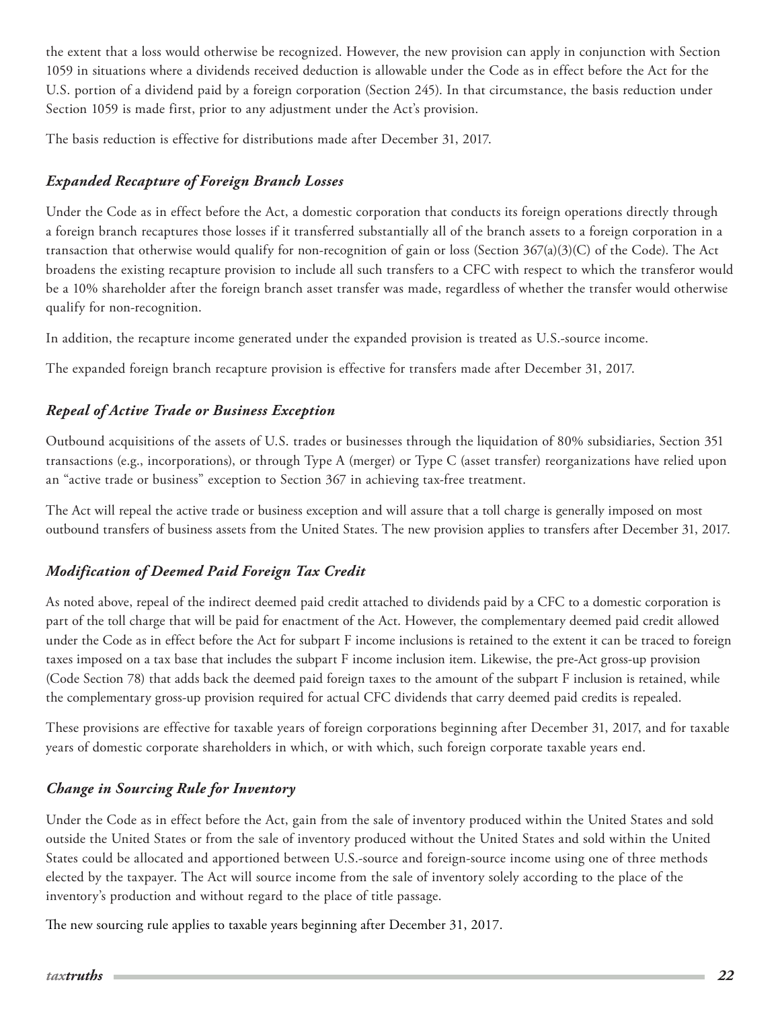<span id="page-21-0"></span>the extent that a loss would otherwise be recognized. However, the new provision can apply in conjunction with Section 1059 in situations where a dividends received deduction is allowable under the Code as in effect before the Act for the U.S. portion of a dividend paid by a foreign corporation (Section 245). In that circumstance, the basis reduction under Section 1059 is made first, prior to any adjustment under the Act's provision.

The basis reduction is effective for distributions made after December 31, 2017.

# *Expanded Recapture of Foreign Branch Losses*

Under the Code as in effect before the Act, a domestic corporation that conducts its foreign operations directly through a foreign branch recaptures those losses if it transferred substantially all of the branch assets to a foreign corporation in a transaction that otherwise would qualify for non-recognition of gain or loss (Section 367(a)(3)(C) of the Code). The Act broadens the existing recapture provision to include all such transfers to a CFC with respect to which the transferor would be a 10% shareholder after the foreign branch asset transfer was made, regardless of whether the transfer would otherwise qualify for non-recognition.

In addition, the recapture income generated under the expanded provision is treated as U.S.-source income.

The expanded foreign branch recapture provision is effective for transfers made after December 31, 2017.

# *Repeal of Active Trade or Business Exception*

Outbound acquisitions of the assets of U.S. trades or businesses through the liquidation of 80% subsidiaries, Section 351 transactions (e.g., incorporations), or through Type A (merger) or Type C (asset transfer) reorganizations have relied upon an "active trade or business" exception to Section 367 in achieving tax-free treatment.

The Act will repeal the active trade or business exception and will assure that a toll charge is generally imposed on most outbound transfers of business assets from the United States. The new provision applies to transfers after December 31, 2017.

# *Modification of Deemed Paid Foreign Tax Credit*

As noted above, repeal of the indirect deemed paid credit attached to dividends paid by a CFC to a domestic corporation is part of the toll charge that will be paid for enactment of the Act. However, the complementary deemed paid credit allowed under the Code as in effect before the Act for subpart F income inclusions is retained to the extent it can be traced to foreign taxes imposed on a tax base that includes the subpart F income inclusion item. Likewise, the pre-Act gross-up provision (Code Section 78) that adds back the deemed paid foreign taxes to the amount of the subpart F inclusion is retained, while the complementary gross-up provision required for actual CFC dividends that carry deemed paid credits is repealed.

These provisions are effective for taxable years of foreign corporations beginning after December 31, 2017, and for taxable years of domestic corporate shareholders in which, or with which, such foreign corporate taxable years end.

# *Change in Sourcing Rule for Inventory*

Under the Code as in effect before the Act, gain from the sale of inventory produced within the United States and sold outside the United States or from the sale of inventory produced without the United States and sold within the United States could be allocated and apportioned between U.S.-source and foreign-source income using one of three methods elected by the taxpayer. The Act will source income from the sale of inventory solely according to the place of the inventory's production and without regard to the place of title passage.

The new sourcing rule applies to taxable years beginning after December 31, 2017.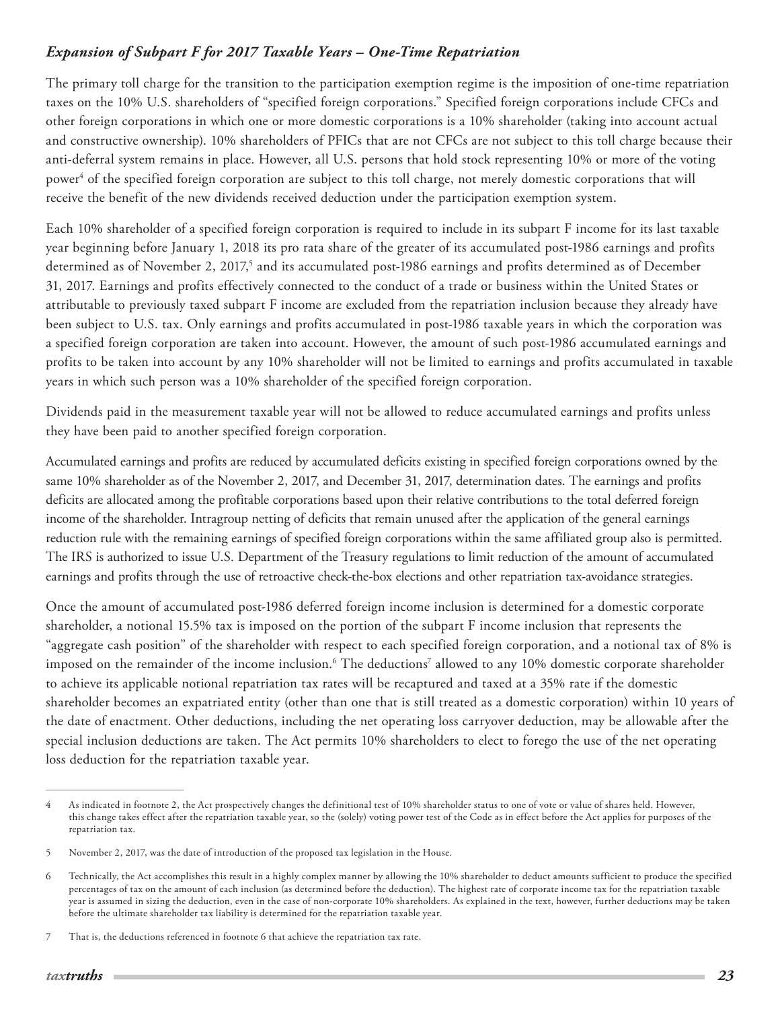## <span id="page-22-0"></span>*Expansion of Subpart F for 2017 Taxable Years – One-Time Repatriation*

The primary toll charge for the transition to the participation exemption regime is the imposition of one-time repatriation taxes on the 10% U.S. shareholders of "specified foreign corporations." Specified foreign corporations include CFCs and other foreign corporations in which one or more domestic corporations is a 10% shareholder (taking into account actual and constructive ownership). 10% shareholders of PFICs that are not CFCs are not subject to this toll charge because their anti-deferral system remains in place. However, all U.S. persons that hold stock representing 10% or more of the voting power<sup>4</sup> of the specified foreign corporation are subject to this toll charge, not merely domestic corporations that will receive the benefit of the new dividends received deduction under the participation exemption system.

Each 10% shareholder of a specified foreign corporation is required to include in its subpart F income for its last taxable year beginning before January 1, 2018 its pro rata share of the greater of its accumulated post-1986 earnings and profits determined as of November 2, 2017,<sup>5</sup> and its accumulated post-1986 earnings and profits determined as of December 31, 2017. Earnings and profits effectively connected to the conduct of a trade or business within the United States or attributable to previously taxed subpart F income are excluded from the repatriation inclusion because they already have been subject to U.S. tax. Only earnings and profits accumulated in post-1986 taxable years in which the corporation was a specified foreign corporation are taken into account. However, the amount of such post-1986 accumulated earnings and profits to be taken into account by any 10% shareholder will not be limited to earnings and profits accumulated in taxable years in which such person was a 10% shareholder of the specified foreign corporation.

Dividends paid in the measurement taxable year will not be allowed to reduce accumulated earnings and profits unless they have been paid to another specified foreign corporation.

Accumulated earnings and profits are reduced by accumulated deficits existing in specified foreign corporations owned by the same 10% shareholder as of the November 2, 2017, and December 31, 2017, determination dates. The earnings and profits deficits are allocated among the profitable corporations based upon their relative contributions to the total deferred foreign income of the shareholder. Intragroup netting of deficits that remain unused after the application of the general earnings reduction rule with the remaining earnings of specified foreign corporations within the same affiliated group also is permitted. The IRS is authorized to issue U.S. Department of the Treasury regulations to limit reduction of the amount of accumulated earnings and profits through the use of retroactive check-the-box elections and other repatriation tax-avoidance strategies.

Once the amount of accumulated post-1986 deferred foreign income inclusion is determined for a domestic corporate shareholder, a notional 15.5% tax is imposed on the portion of the subpart F income inclusion that represents the "aggregate cash position" of the shareholder with respect to each specified foreign corporation, and a notional tax of 8% is imposed on the remainder of the income inclusion.<sup>6</sup> The deductions<sup>7</sup> allowed to any 10% domestic corporate shareholder to achieve its applicable notional repatriation tax rates will be recaptured and taxed at a 35% rate if the domestic shareholder becomes an expatriated entity (other than one that is still treated as a domestic corporation) within 10 years of the date of enactment. Other deductions, including the net operating loss carryover deduction, may be allowable after the special inclusion deductions are taken. The Act permits 10% shareholders to elect to forego the use of the net operating loss deduction for the repatriation taxable year.

<sup>4</sup> As indicated in footnote 2, the Act prospectively changes the definitional test of 10% shareholder status to one of vote or value of shares held. However, this change takes effect after the repatriation taxable year, so the (solely) voting power test of the Code as in effect before the Act applies for purposes of the repatriation tax.

<sup>5</sup> November 2, 2017, was the date of introduction of the proposed tax legislation in the House.

<sup>6</sup> Technically, the Act accomplishes this result in a highly complex manner by allowing the 10% shareholder to deduct amounts sufficient to produce the specified percentages of tax on the amount of each inclusion (as determined before the deduction). The highest rate of corporate income tax for the repatriation taxable year is assumed in sizing the deduction, even in the case of non-corporate 10% shareholders. As explained in the text, however, further deductions may be taken before the ultimate shareholder tax liability is determined for the repatriation taxable year.

<sup>7</sup> That is, the deductions referenced in footnote 6 that achieve the repatriation tax rate.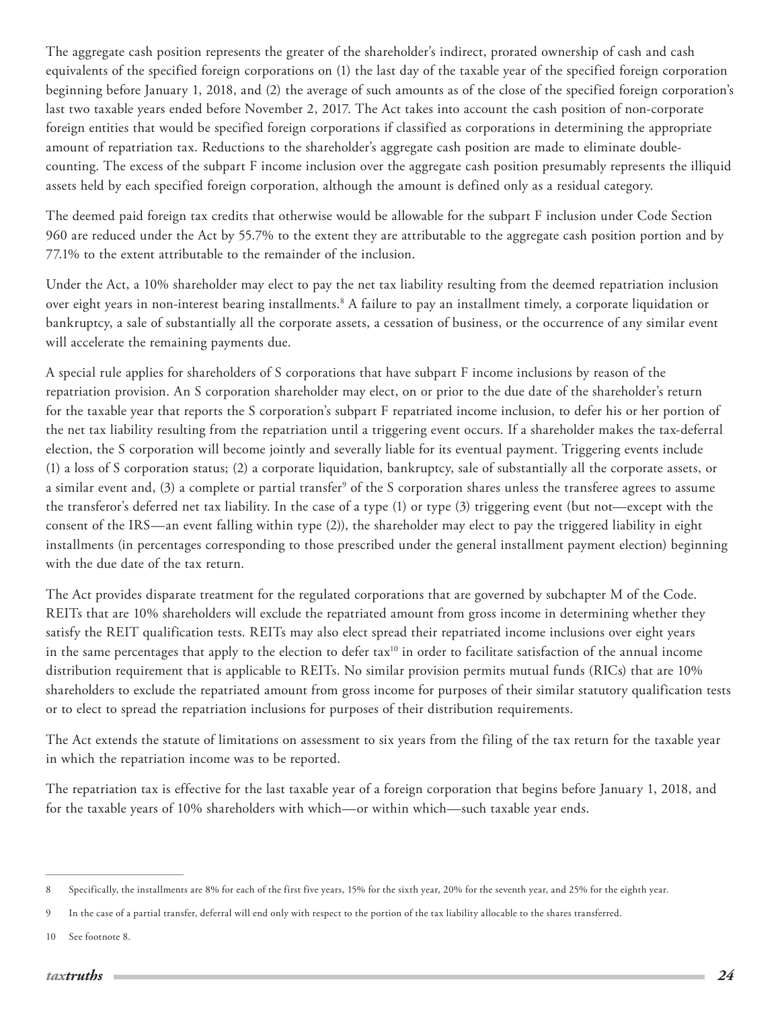The aggregate cash position represents the greater of the shareholder's indirect, prorated ownership of cash and cash equivalents of the specified foreign corporations on (1) the last day of the taxable year of the specified foreign corporation beginning before January 1, 2018, and (2) the average of such amounts as of the close of the specified foreign corporation's last two taxable years ended before November 2, 2017. The Act takes into account the cash position of non-corporate foreign entities that would be specified foreign corporations if classified as corporations in determining the appropriate amount of repatriation tax. Reductions to the shareholder's aggregate cash position are made to eliminate doublecounting. The excess of the subpart F income inclusion over the aggregate cash position presumably represents the illiquid assets held by each specified foreign corporation, although the amount is defined only as a residual category.

The deemed paid foreign tax credits that otherwise would be allowable for the subpart F inclusion under Code Section 960 are reduced under the Act by 55.7% to the extent they are attributable to the aggregate cash position portion and by 77.1% to the extent attributable to the remainder of the inclusion.

Under the Act, a 10% shareholder may elect to pay the net tax liability resulting from the deemed repatriation inclusion over eight years in non-interest bearing installments.<sup>8</sup> A failure to pay an installment timely, a corporate liquidation or bankruptcy, a sale of substantially all the corporate assets, a cessation of business, or the occurrence of any similar event will accelerate the remaining payments due.

A special rule applies for shareholders of S corporations that have subpart F income inclusions by reason of the repatriation provision. An S corporation shareholder may elect, on or prior to the due date of the shareholder's return for the taxable year that reports the S corporation's subpart F repatriated income inclusion, to defer his or her portion of the net tax liability resulting from the repatriation until a triggering event occurs. If a shareholder makes the tax-deferral election, the S corporation will become jointly and severally liable for its eventual payment. Triggering events include (1) a loss of S corporation status; (2) a corporate liquidation, bankruptcy, sale of substantially all the corporate assets, or a similar event and, (3) a complete or partial transfer $^{\circ}$  of the S corporation shares unless the transferee agrees to assume the transferor's deferred net tax liability. In the case of a type (1) or type (3) triggering event (but not—except with the consent of the IRS—an event falling within type (2)), the shareholder may elect to pay the triggered liability in eight installments (in percentages corresponding to those prescribed under the general installment payment election) beginning with the due date of the tax return.

The Act provides disparate treatment for the regulated corporations that are governed by subchapter M of the Code. REITs that are 10% shareholders will exclude the repatriated amount from gross income in determining whether they satisfy the REIT qualification tests. REITs may also elect spread their repatriated income inclusions over eight years in the same percentages that apply to the election to defer tax<sup>10</sup> in order to facilitate satisfaction of the annual income distribution requirement that is applicable to REITs. No similar provision permits mutual funds (RICs) that are 10% shareholders to exclude the repatriated amount from gross income for purposes of their similar statutory qualification tests or to elect to spread the repatriation inclusions for purposes of their distribution requirements.

The Act extends the statute of limitations on assessment to six years from the filing of the tax return for the taxable year in which the repatriation income was to be reported.

The repatriation tax is effective for the last taxable year of a foreign corporation that begins before January 1, 2018, and for the taxable years of 10% shareholders with which—or within which—such taxable year ends.

<sup>8</sup> Specifically, the installments are 8% for each of the first five years, 15% for the sixth year, 20% for the seventh year, and 25% for the eighth year.

<sup>9</sup> In the case of a partial transfer, deferral will end only with respect to the portion of the tax liability allocable to the shares transferred.

<sup>10</sup> See footnote 8.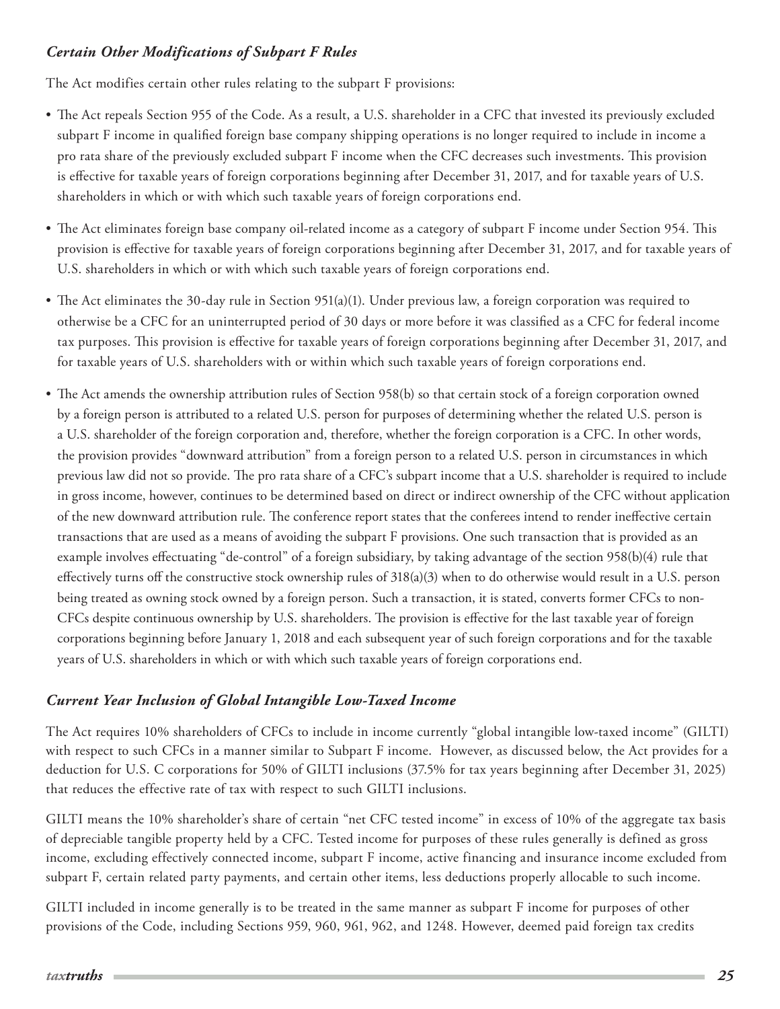# <span id="page-24-0"></span>*Certain Other Modifications of Subpart F Rules*

The Act modifies certain other rules relating to the subpart F provisions:

- The Act repeals Section 955 of the Code. As a result, a U.S. shareholder in a CFC that invested its previously excluded subpart F income in qualified foreign base company shipping operations is no longer required to include in income a pro rata share of the previously excluded subpart F income when the CFC decreases such investments. This provision is effective for taxable years of foreign corporations beginning after December 31, 2017, and for taxable years of U.S. shareholders in which or with which such taxable years of foreign corporations end.
- The Act eliminates foreign base company oil-related income as a category of subpart F income under Section 954. This provision is effective for taxable years of foreign corporations beginning after December 31, 2017, and for taxable years of U.S. shareholders in which or with which such taxable years of foreign corporations end.
- The Act eliminates the 30-day rule in Section 951(a)(1). Under previous law, a foreign corporation was required to otherwise be a CFC for an uninterrupted period of 30 days or more before it was classified as a CFC for federal income tax purposes. This provision is effective for taxable years of foreign corporations beginning after December 31, 2017, and for taxable years of U.S. shareholders with or within which such taxable years of foreign corporations end.
- The Act amends the ownership attribution rules of Section 958(b) so that certain stock of a foreign corporation owned by a foreign person is attributed to a related U.S. person for purposes of determining whether the related U.S. person is a U.S. shareholder of the foreign corporation and, therefore, whether the foreign corporation is a CFC. In other words, the provision provides "downward attribution" from a foreign person to a related U.S. person in circumstances in which previous law did not so provide. The pro rata share of a CFC's subpart income that a U.S. shareholder is required to include in gross income, however, continues to be determined based on direct or indirect ownership of the CFC without application of the new downward attribution rule. The conference report states that the conferees intend to render ineffective certain transactions that are used as a means of avoiding the subpart F provisions. One such transaction that is provided as an example involves effectuating "de-control" of a foreign subsidiary, by taking advantage of the section 958(b)(4) rule that effectively turns off the constructive stock ownership rules of  $318(a)(3)$  when to do otherwise would result in a U.S. person being treated as owning stock owned by a foreign person. Such a transaction, it is stated, converts former CFCs to non-CFCs despite continuous ownership by U.S. shareholders. The provision is effective for the last taxable year of foreign corporations beginning before January 1, 2018 and each subsequent year of such foreign corporations and for the taxable years of U.S. shareholders in which or with which such taxable years of foreign corporations end.

# *Current Year Inclusion of Global Intangible Low-Taxed Income*

The Act requires 10% shareholders of CFCs to include in income currently "global intangible low-taxed income" (GILTI) with respect to such CFCs in a manner similar to Subpart F income. However, as discussed below, the Act provides for a deduction for U.S. C corporations for 50% of GILTI inclusions (37.5% for tax years beginning after December 31, 2025) that reduces the effective rate of tax with respect to such GILTI inclusions.

GILTI means the 10% shareholder's share of certain "net CFC tested income" in excess of 10% of the aggregate tax basis of depreciable tangible property held by a CFC. Tested income for purposes of these rules generally is defined as gross income, excluding effectively connected income, subpart F income, active financing and insurance income excluded from subpart F, certain related party payments, and certain other items, less deductions properly allocable to such income.

GILTI included in income generally is to be treated in the same manner as subpart F income for purposes of other provisions of the Code, including Sections 959, 960, 961, 962, and 1248. However, deemed paid foreign tax credits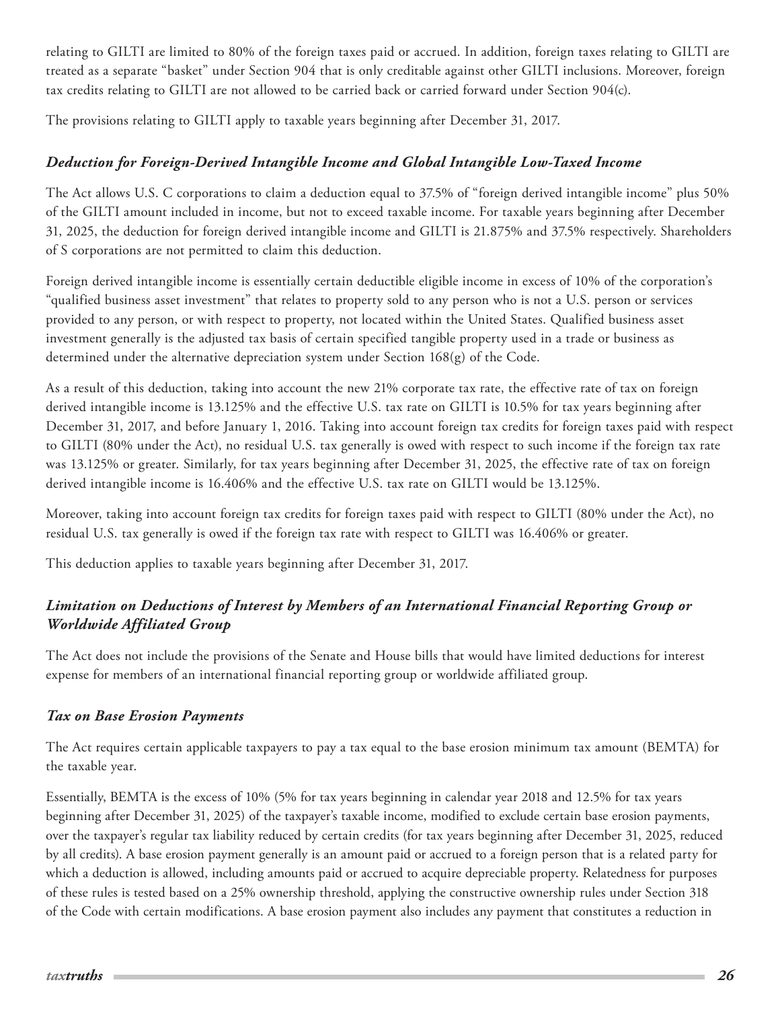<span id="page-25-0"></span>relating to GILTI are limited to 80% of the foreign taxes paid or accrued. In addition, foreign taxes relating to GILTI are treated as a separate "basket" under Section 904 that is only creditable against other GILTI inclusions. Moreover, foreign tax credits relating to GILTI are not allowed to be carried back or carried forward under Section 904(c).

The provisions relating to GILTI apply to taxable years beginning after December 31, 2017.

# *Deduction for Foreign-Derived Intangible Income and Global Intangible Low-Taxed Income*

The Act allows U.S. C corporations to claim a deduction equal to 37.5% of "foreign derived intangible income" plus 50% of the GILTI amount included in income, but not to exceed taxable income. For taxable years beginning after December 31, 2025, the deduction for foreign derived intangible income and GILTI is 21.875% and 37.5% respectively. Shareholders of S corporations are not permitted to claim this deduction.

Foreign derived intangible income is essentially certain deductible eligible income in excess of 10% of the corporation's "qualified business asset investment" that relates to property sold to any person who is not a U.S. person or services provided to any person, or with respect to property, not located within the United States. Qualified business asset investment generally is the adjusted tax basis of certain specified tangible property used in a trade or business as determined under the alternative depreciation system under Section 168(g) of the Code.

As a result of this deduction, taking into account the new 21% corporate tax rate, the effective rate of tax on foreign derived intangible income is 13.125% and the effective U.S. tax rate on GILTI is 10.5% for tax years beginning after December 31, 2017, and before January 1, 2016. Taking into account foreign tax credits for foreign taxes paid with respect to GILTI (80% under the Act), no residual U.S. tax generally is owed with respect to such income if the foreign tax rate was 13.125% or greater. Similarly, for tax years beginning after December 31, 2025, the effective rate of tax on foreign derived intangible income is 16.406% and the effective U.S. tax rate on GILTI would be 13.125%.

Moreover, taking into account foreign tax credits for foreign taxes paid with respect to GILTI (80% under the Act), no residual U.S. tax generally is owed if the foreign tax rate with respect to GILTI was 16.406% or greater.

This deduction applies to taxable years beginning after December 31, 2017.

# *Limitation on Deductions of Interest by Members of an International Financial Reporting Group or Worldwide Affiliated Group*

The Act does not include the provisions of the Senate and House bills that would have limited deductions for interest expense for members of an international financial reporting group or worldwide affiliated group.

### *Tax on Base Erosion Payments*

The Act requires certain applicable taxpayers to pay a tax equal to the base erosion minimum tax amount (BEMTA) for the taxable year.

Essentially, BEMTA is the excess of 10% (5% for tax years beginning in calendar year 2018 and 12.5% for tax years beginning after December 31, 2025) of the taxpayer's taxable income, modified to exclude certain base erosion payments, over the taxpayer's regular tax liability reduced by certain credits (for tax years beginning after December 31, 2025, reduced by all credits). A base erosion payment generally is an amount paid or accrued to a foreign person that is a related party for which a deduction is allowed, including amounts paid or accrued to acquire depreciable property. Relatedness for purposes of these rules is tested based on a 25% ownership threshold, applying the constructive ownership rules under Section 318 of the Code with certain modifications. A base erosion payment also includes any payment that constitutes a reduction in